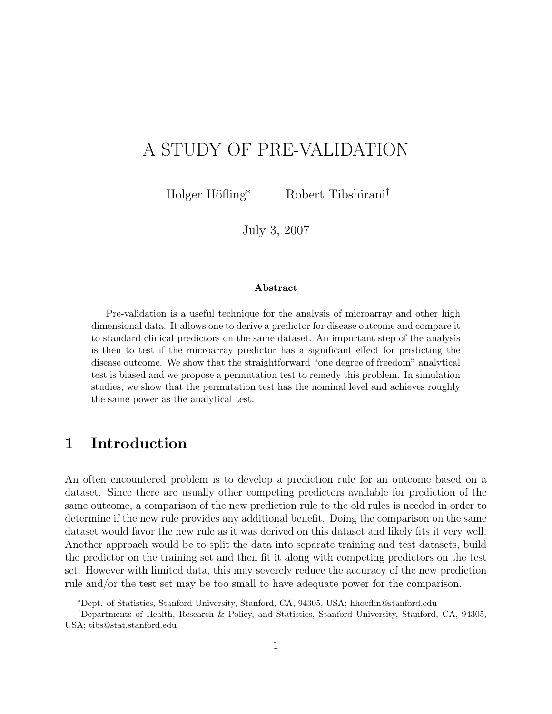# A STUDY OF PRE-VALIDATION

Holger Höfling<sup>∗</sup> Robert Tibshirani<sup>†</sup>

July 3, 2007

#### Abstract

Pre-validation is a useful technique for the analysis of microarray and other high dimensional data. It allows one to derive a predictor for disease outcome and compare it to standard clinical predictors on the same dataset. An important step of the analysis is then to test if the microarray predictor has a significant effect for predicting the disease outcome. We show that the straightforward "one degree of freedom" analytical test is biased and we propose a permutation test to remedy this problem. In simulation studies, we show that the permutation test has the nominal level and achieves roughly the same power as the analytical test.

## 1 Introduction

An often encountered problem is to develop a prediction rule for an outcome based on a dataset. Since there are usually other competing predictors available for prediction of the same outcome, a comparison of the new prediction rule to the old rules is needed in order to determine if the new rule provides any additional benefit. Doing the comparison on the same dataset would favor the new rule as it was derived on this dataset and likely fits it very well. Another approach would be to split the data into separate training and test datasets, build the predictor on the training set and then fit it along with competing predictors on the test set. However with limited data, this may severely reduce the accuracy of the new prediction rule and/or the test set may be too small to have adequate power for the comparison.

<sup>∗</sup>Dept. of Statistics, Stanford University, Stanford, CA, 94305, USA; hhoeflin@stanford.edu

<sup>†</sup>Departments of Health, Research & Policy, and Statistics, Stanford University, Stanford, CA, 94305, USA; tibs@stat.stanford.edu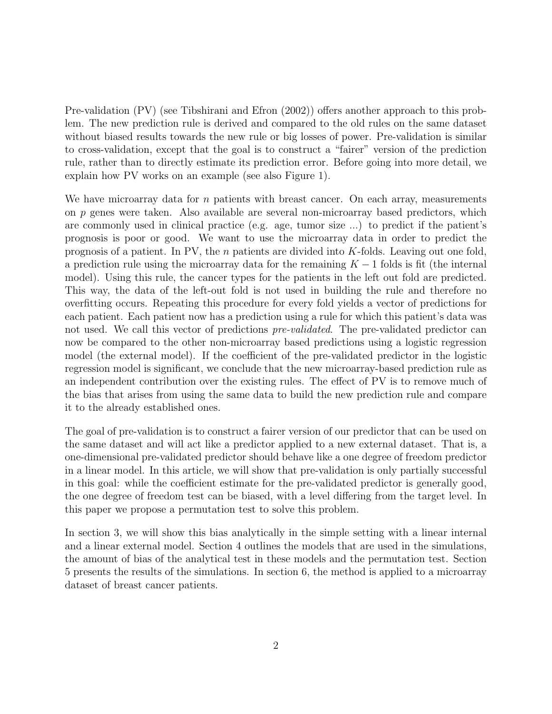Pre-validation (PV) (see Tibshirani and Efron (2002)) offers another approach to this problem. The new prediction rule is derived and compared to the old rules on the same dataset without biased results towards the new rule or big losses of power. Pre-validation is similar to cross-validation, except that the goal is to construct a "fairer" version of the prediction rule, rather than to directly estimate its prediction error. Before going into more detail, we explain how PV works on an example (see also Figure 1).

We have microarray data for  $n$  patients with breast cancer. On each array, measurements on p genes were taken. Also available are several non-microarray based predictors, which are commonly used in clinical practice (e.g. age, tumor size ...) to predict if the patient's prognosis is poor or good. We want to use the microarray data in order to predict the prognosis of a patient. In PV, the *n* patients are divided into K-folds. Leaving out one fold, a prediction rule using the microarray data for the remaining  $K - 1$  folds is fit (the internal model). Using this rule, the cancer types for the patients in the left out fold are predicted. This way, the data of the left-out fold is not used in building the rule and therefore no overfitting occurs. Repeating this procedure for every fold yields a vector of predictions for each patient. Each patient now has a prediction using a rule for which this patient's data was not used. We call this vector of predictions *pre-validated*. The pre-validated predictor can now be compared to the other non-microarray based predictions using a logistic regression model (the external model). If the coefficient of the pre-validated predictor in the logistic regression model is significant, we conclude that the new microarray-based prediction rule as an independent contribution over the existing rules. The effect of PV is to remove much of the bias that arises from using the same data to build the new prediction rule and compare it to the already established ones.

The goal of pre-validation is to construct a fairer version of our predictor that can be used on the same dataset and will act like a predictor applied to a new external dataset. That is, a one-dimensional pre-validated predictor should behave like a one degree of freedom predictor in a linear model. In this article, we will show that pre-validation is only partially successful in this goal: while the coefficient estimate for the pre-validated predictor is generally good, the one degree of freedom test can be biased, with a level differing from the target level. In this paper we propose a permutation test to solve this problem.

In section 3, we will show this bias analytically in the simple setting with a linear internal and a linear external model. Section 4 outlines the models that are used in the simulations, the amount of bias of the analytical test in these models and the permutation test. Section 5 presents the results of the simulations. In section 6, the method is applied to a microarray dataset of breast cancer patients.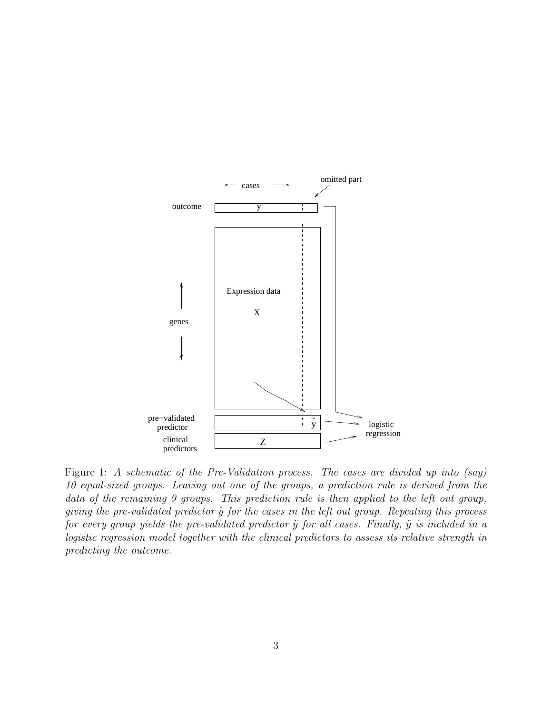

Figure 1: A schematic of the Pre-Validation process. The cases are divided up into (say) 10 equal-sized groups. Leaving out one of the groups, a prediction rule is derived from the data of the remaining 9 groups. This prediction rule is then applied to the left out group, giving the pre-validated predictor  $\tilde{y}$  for the cases in the left out group. Repeating this process for every group yields the pre-validated predictor  $\tilde{y}$  for all cases. Finally,  $\tilde{y}$  is included in a logistic regression model together with the clinical predictors to assess its relative strength in predicting the outcome.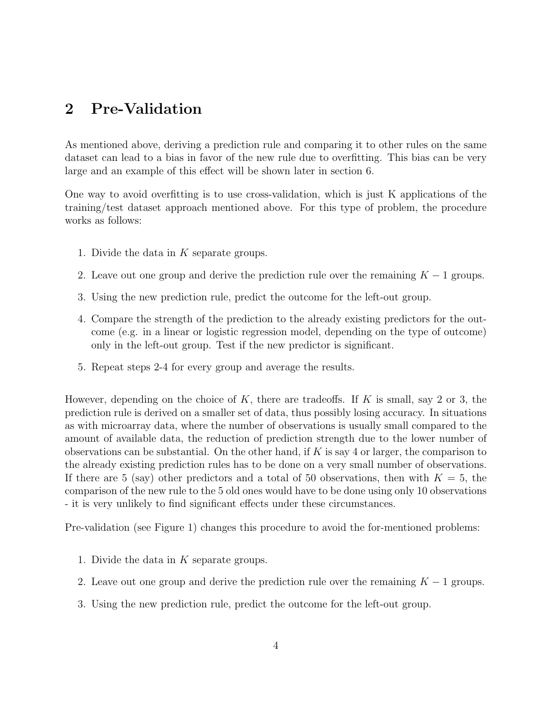## 2 Pre-Validation

As mentioned above, deriving a prediction rule and comparing it to other rules on the same dataset can lead to a bias in favor of the new rule due to overfitting. This bias can be very large and an example of this effect will be shown later in section 6.

One way to avoid overfitting is to use cross-validation, which is just K applications of the training/test dataset approach mentioned above. For this type of problem, the procedure works as follows:

- 1. Divide the data in K separate groups.
- 2. Leave out one group and derive the prediction rule over the remaining  $K 1$  groups.
- 3. Using the new prediction rule, predict the outcome for the left-out group.
- 4. Compare the strength of the prediction to the already existing predictors for the outcome (e.g. in a linear or logistic regression model, depending on the type of outcome) only in the left-out group. Test if the new predictor is significant.
- 5. Repeat steps 2-4 for every group and average the results.

However, depending on the choice of K, there are tradeoffs. If K is small, say 2 or 3, the prediction rule is derived on a smaller set of data, thus possibly losing accuracy. In situations as with microarray data, where the number of observations is usually small compared to the amount of available data, the reduction of prediction strength due to the lower number of observations can be substantial. On the other hand, if  $K$  is say 4 or larger, the comparison to the already existing prediction rules has to be done on a very small number of observations. If there are 5 (say) other predictors and a total of 50 observations, then with  $K = 5$ , the comparison of the new rule to the 5 old ones would have to be done using only 10 observations - it is very unlikely to find significant effects under these circumstances.

Pre-validation (see Figure 1) changes this procedure to avoid the for-mentioned problems:

- 1. Divide the data in K separate groups.
- 2. Leave out one group and derive the prediction rule over the remaining  $K 1$  groups.
- 3. Using the new prediction rule, predict the outcome for the left-out group.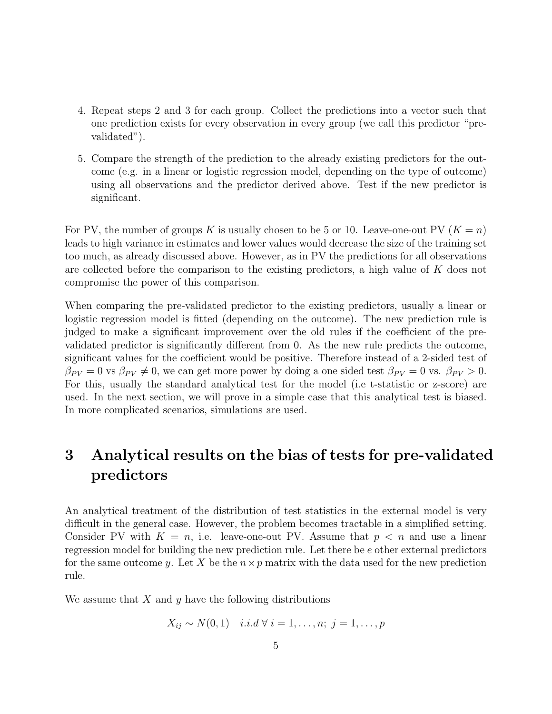- 4. Repeat steps 2 and 3 for each group. Collect the predictions into a vector such that one prediction exists for every observation in every group (we call this predictor "prevalidated").
- 5. Compare the strength of the prediction to the already existing predictors for the outcome (e.g. in a linear or logistic regression model, depending on the type of outcome) using all observations and the predictor derived above. Test if the new predictor is significant.

For PV, the number of groups K is usually chosen to be 5 or 10. Leave-one-out PV  $(K = n)$ leads to high variance in estimates and lower values would decrease the size of the training set too much, as already discussed above. However, as in PV the predictions for all observations are collected before the comparison to the existing predictors, a high value of K does not compromise the power of this comparison.

When comparing the pre-validated predictor to the existing predictors, usually a linear or logistic regression model is fitted (depending on the outcome). The new prediction rule is judged to make a significant improvement over the old rules if the coefficient of the prevalidated predictor is significantly different from 0. As the new rule predicts the outcome, significant values for the coefficient would be positive. Therefore instead of a 2-sided test of  $\beta_{PV} = 0$  vs  $\beta_{PV} \neq 0$ , we can get more power by doing a one sided test  $\beta_{PV} = 0$  vs.  $\beta_{PV} > 0$ . For this, usually the standard analytical test for the model (i.e t-statistic or z-score) are used. In the next section, we will prove in a simple case that this analytical test is biased. In more complicated scenarios, simulations are used.

# 3 Analytical results on the bias of tests for pre-validated predictors

An analytical treatment of the distribution of test statistics in the external model is very difficult in the general case. However, the problem becomes tractable in a simplified setting. Consider PV with  $K = n$ , i.e. leave-one-out PV. Assume that  $p \lt n$  and use a linear regression model for building the new prediction rule. Let there be e other external predictors for the same outcome y. Let X be the  $n \times p$  matrix with the data used for the new prediction rule.

We assume that  $X$  and  $y$  have the following distributions

$$
X_{ij} \sim N(0,1) \quad i.i.d \; \forall \; i=1,\ldots,n; \; j=1,\ldots,p
$$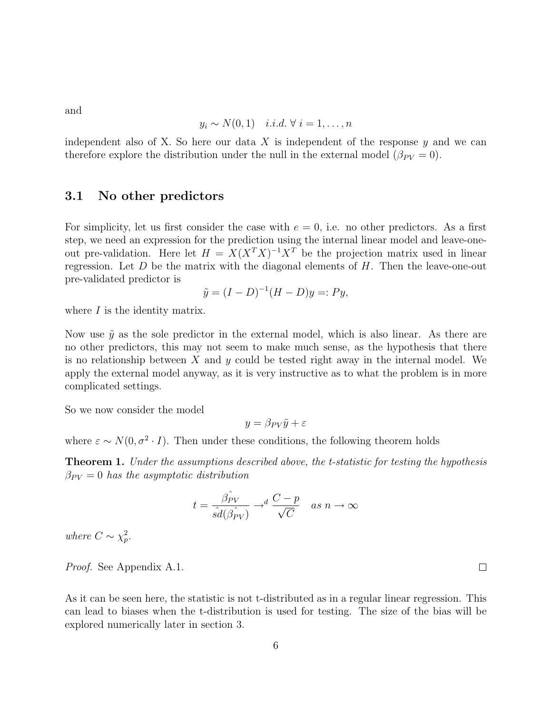and

$$
y_i \sim N(0, 1) \quad i.i.d. \ \forall \ i = 1, \dots, n
$$

independent also of X. So here our data X is independent of the response  $y$  and we can therefore explore the distribution under the null in the external model  $(\beta_{PV} = 0)$ .

#### 3.1 No other predictors

For simplicity, let us first consider the case with  $e = 0$ , i.e. no other predictors. As a first step, we need an expression for the prediction using the internal linear model and leave-oneout pre-validation. Here let  $H = X(X^T X)^{-1} X^T$  be the projection matrix used in linear regression. Let  $D$  be the matrix with the diagonal elements of  $H$ . Then the leave-one-out pre-validated predictor is

$$
\tilde{y} = (I - D)^{-1}(H - D)y =: Py,
$$

where  $I$  is the identity matrix.

Now use  $\tilde{y}$  as the sole predictor in the external model, which is also linear. As there are no other predictors, this may not seem to make much sense, as the hypothesis that there is no relationship between  $X$  and  $y$  could be tested right away in the internal model. We apply the external model anyway, as it is very instructive as to what the problem is in more complicated settings.

So we now consider the model

$$
y = \beta_{PV}\tilde{y} + \varepsilon
$$

where  $\varepsilon \sim N(0, \sigma^2 \cdot I)$ . Then under these conditions, the following theorem holds

Theorem 1. Under the assumptions described above, the t-statistic for testing the hypothesis  $\beta_{PV} = 0$  has the asymptotic distribution

$$
t = \frac{\hat{\beta_{PV}}}{\hat{sd}(\hat{\beta_{PV}})} \rightarrow^d \frac{C - p}{\sqrt{C}} \quad as \ n \rightarrow \infty
$$

where  $C \sim \chi_p^2$ .

Proof. See Appendix A.1.

As it can be seen here, the statistic is not t-distributed as in a regular linear regression. This can lead to biases when the t-distribution is used for testing. The size of the bias will be explored numerically later in section 3.

 $\Box$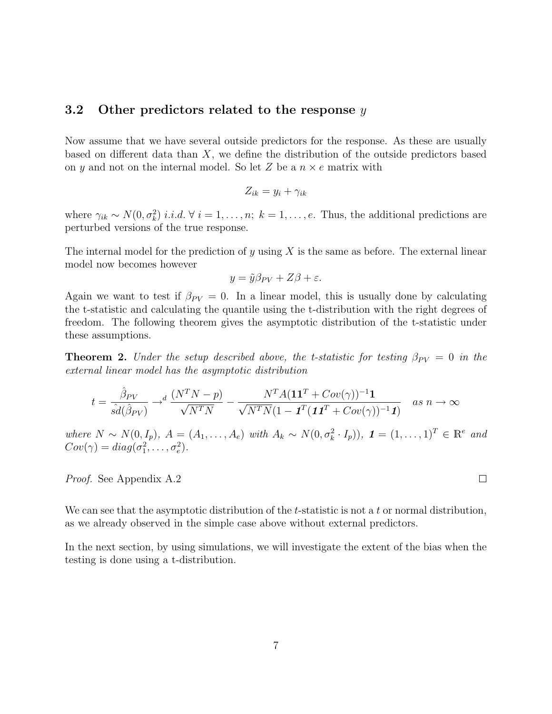#### 3.2 Other predictors related to the response  $y$

Now assume that we have several outside predictors for the response. As these are usually based on different data than  $X$ , we define the distribution of the outside predictors based on y and not on the internal model. So let Z be a  $n \times e$  matrix with

$$
Z_{ik} = y_i + \gamma_{ik}
$$

where  $\gamma_{ik} \sim N(0, \sigma_k^2)$  *i.i.d.*  $\forall i = 1, \ldots, n; k = 1, \ldots, e$ . Thus, the additional predictions are perturbed versions of the true response.

The internal model for the prediction of y using X is the same as before. The external linear model now becomes however

$$
y = \tilde{y}\beta_{PV} + Z\beta + \varepsilon.
$$

Again we want to test if  $\beta_{PV} = 0$ . In a linear model, this is usually done by calculating the t-statistic and calculating the quantile using the t-distribution with the right degrees of freedom. The following theorem gives the asymptotic distribution of the t-statistic under these assumptions.

**Theorem 2.** Under the setup described above, the t-statistic for testing  $\beta_{PV} = 0$  in the external linear model has the asymptotic distribution

$$
t = \frac{\hat{\beta}_{PV}}{\hat{sd}(\hat{\beta}_{PV})} \rightarrow^d \frac{(N^T N - p)}{\sqrt{N^T N}} - \frac{N^T A (\mathbf{1} \mathbf{1}^T + Cov(\gamma))^{-1} \mathbf{1}}{\sqrt{N^T N} (1 - \mathbf{1}^T (\mathbf{1} \mathbf{1}^T + Cov(\gamma))^{-1} \mathbf{1})} \quad \text{as } n \rightarrow \infty
$$

where  $N \sim N(0, I_p)$ ,  $A = (A_1, \ldots, A_e)$  with  $A_k \sim N(0, \sigma_k^2 \cdot I_p)$ ,  $\mathbf{1} = (1, \ldots, 1)^T \in \mathbb{R}^e$  and  $Cov(\gamma) = diag(\sigma_1^2, \ldots, \sigma_e^2).$ 

Proof. See Appendix A.2

We can see that the asymptotic distribution of the t-statistic is not a t or normal distribution, as we already observed in the simple case above without external predictors.

In the next section, by using simulations, we will investigate the extent of the bias when the testing is done using a t-distribution.

 $\Box$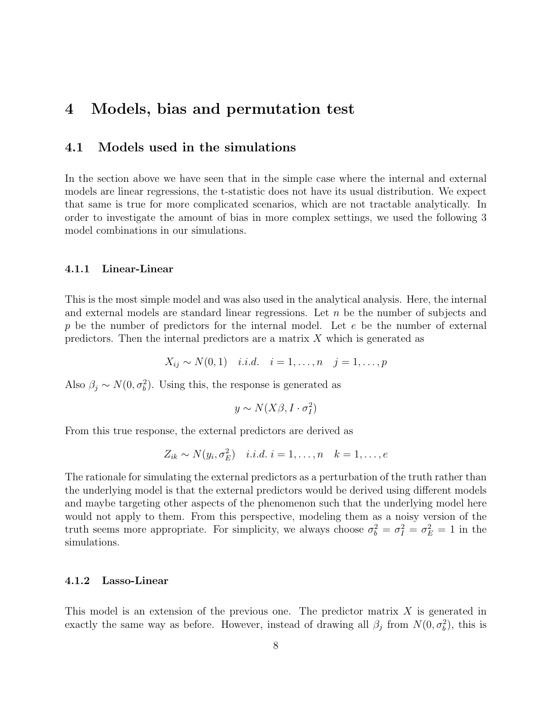### 4 Models, bias and permutation test

#### 4.1 Models used in the simulations

In the section above we have seen that in the simple case where the internal and external models are linear regressions, the t-statistic does not have its usual distribution. We expect that same is true for more complicated scenarios, which are not tractable analytically. In order to investigate the amount of bias in more complex settings, we used the following 3 model combinations in our simulations.

#### 4.1.1 Linear-Linear

This is the most simple model and was also used in the analytical analysis. Here, the internal and external models are standard linear regressions. Let  $n$  be the number of subjects and  $p$  be the number of predictors for the internal model. Let  $e$  be the number of external predictors. Then the internal predictors are a matrix  $X$  which is generated as

$$
X_{ij} \sim N(0, 1)
$$
 i.i.d.  $i = 1, ..., n$   $j = 1, ..., p$ 

Also  $\beta_j \sim N(0, \sigma_b^2)$ . Using this, the response is generated as

$$
y \sim N(X\beta, I \cdot \sigma_I^2)
$$

From this true response, the external predictors are derived as

$$
Z_{ik} \sim N(y_i, \sigma_E^2) \quad i.i.d. \ i = 1, \dots, n \quad k = 1, \dots, e
$$

The rationale for simulating the external predictors as a perturbation of the truth rather than the underlying model is that the external predictors would be derived using different models and maybe targeting other aspects of the phenomenon such that the underlying model here would not apply to them. From this perspective, modeling them as a noisy version of the truth seems more appropriate. For simplicity, we always choose  $\sigma_b^2 = \sigma_f^2 = \sigma_E^2 = 1$  in the simulations.

#### 4.1.2 Lasso-Linear

This model is an extension of the previous one. The predictor matrix X is generated in exactly the same way as before. However, instead of drawing all  $\beta_j$  from  $N(0, \sigma_b^2)$ , this is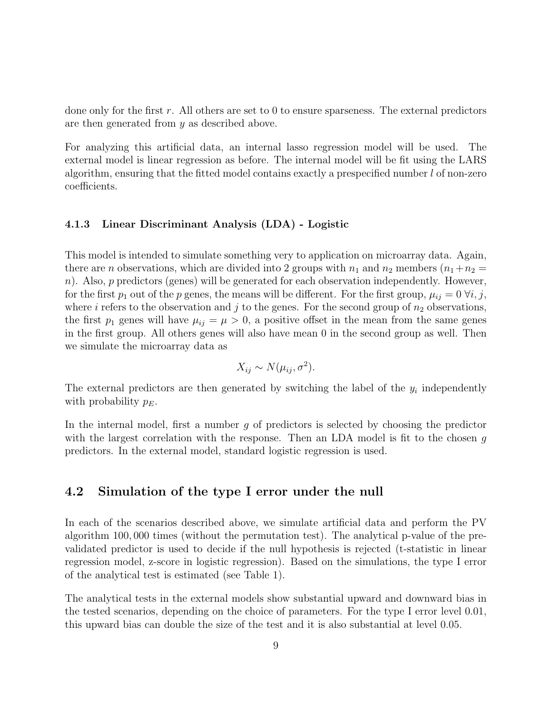done only for the first r. All others are set to 0 to ensure sparseness. The external predictors are then generated from y as described above.

For analyzing this artificial data, an internal lasso regression model will be used. The external model is linear regression as before. The internal model will be fit using the LARS algorithm, ensuring that the fitted model contains exactly a prespecified number  $l$  of non-zero coefficients.

#### 4.1.3 Linear Discriminant Analysis (LDA) - Logistic

This model is intended to simulate something very to application on microarray data. Again, there are *n* observations, which are divided into 2 groups with  $n_1$  and  $n_2$  members  $(n_1+n_2 =$ n). Also,  $p$  predictors (genes) will be generated for each observation independently. However, for the first  $p_1$  out of the p genes, the means will be different. For the first group,  $\mu_{ij} = 0 \ \forall i, j$ , where i refers to the observation and j to the genes. For the second group of  $n_2$  observations, the first  $p_1$  genes will have  $\mu_{ij} = \mu > 0$ , a positive offset in the mean from the same genes in the first group. All others genes will also have mean 0 in the second group as well. Then we simulate the microarray data as

$$
X_{ij} \sim N(\mu_{ij}, \sigma^2).
$$

The external predictors are then generated by switching the label of the  $y_i$  independently with probability  $p_E$ .

In the internal model, first a number  $q$  of predictors is selected by choosing the predictor with the largest correlation with the response. Then an LDA model is fit to the chosen g predictors. In the external model, standard logistic regression is used.

#### 4.2 Simulation of the type I error under the null

In each of the scenarios described above, we simulate artificial data and perform the PV algorithm 100, 000 times (without the permutation test). The analytical p-value of the prevalidated predictor is used to decide if the null hypothesis is rejected (t-statistic in linear regression model, z-score in logistic regression). Based on the simulations, the type I error of the analytical test is estimated (see Table 1).

The analytical tests in the external models show substantial upward and downward bias in the tested scenarios, depending on the choice of parameters. For the type I error level 0.01, this upward bias can double the size of the test and it is also substantial at level 0.05.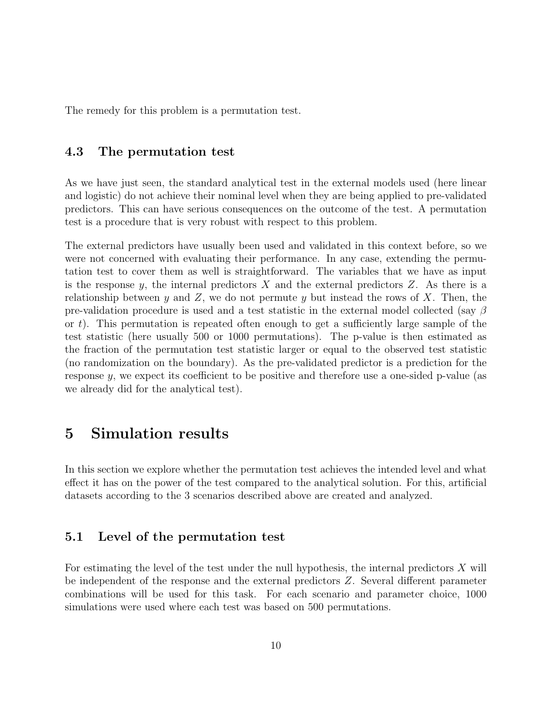The remedy for this problem is a permutation test.

#### 4.3 The permutation test

As we have just seen, the standard analytical test in the external models used (here linear and logistic) do not achieve their nominal level when they are being applied to pre-validated predictors. This can have serious consequences on the outcome of the test. A permutation test is a procedure that is very robust with respect to this problem.

The external predictors have usually been used and validated in this context before, so we were not concerned with evaluating their performance. In any case, extending the permutation test to cover them as well is straightforward. The variables that we have as input is the response y, the internal predictors  $X$  and the external predictors  $Z$ . As there is a relationship between y and Z, we do not permute y but instead the rows of X. Then, the pre-validation procedure is used and a test statistic in the external model collected (say  $\beta$ or t). This permutation is repeated often enough to get a sufficiently large sample of the test statistic (here usually 500 or 1000 permutations). The p-value is then estimated as the fraction of the permutation test statistic larger or equal to the observed test statistic (no randomization on the boundary). As the pre-validated predictor is a prediction for the response y, we expect its coefficient to be positive and therefore use a one-sided p-value (as we already did for the analytical test).

## 5 Simulation results

In this section we explore whether the permutation test achieves the intended level and what effect it has on the power of the test compared to the analytical solution. For this, artificial datasets according to the 3 scenarios described above are created and analyzed.

#### 5.1 Level of the permutation test

For estimating the level of the test under the null hypothesis, the internal predictors  $X$  will be independent of the response and the external predictors Z. Several different parameter combinations will be used for this task. For each scenario and parameter choice, 1000 simulations were used where each test was based on 500 permutations.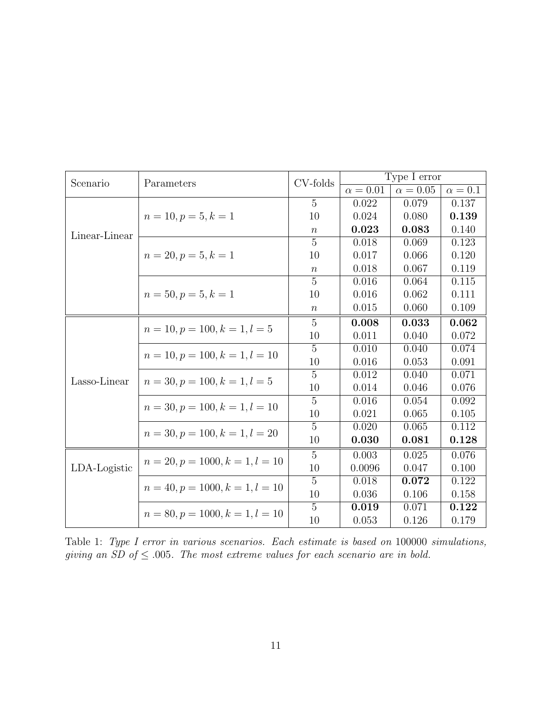| Scenario      | Parameters                        | CV-folds         |               | Type I error  |              |
|---------------|-----------------------------------|------------------|---------------|---------------|--------------|
|               |                                   |                  | $\alpha=0.01$ | $\alpha=0.05$ | $\alpha=0.1$ |
|               |                                   | $\overline{5}$   | 0.022         | 0.079         | 0.137        |
|               | $n = 10, p = 5, k = 1$            | 10               | 0.024         | 0.080         | 0.139        |
| Linear-Linear |                                   | $\boldsymbol{n}$ | 0.023         | 0.083         | 0.140        |
|               |                                   | 5                | 0.018         | 0.069         | 0.123        |
|               | $n = 20, p = 5, k = 1$            | 10               | 0.017         | 0.066         | 0.120        |
|               |                                   | $\boldsymbol{n}$ | 0.018         | 0.067         | 0.119        |
|               |                                   | $\overline{5}$   | 0.016         | 0.064         | 0.115        |
|               | $n = 50, p = 5, k = 1$            | 10               | 0.016         | 0.062         | 0.111        |
|               |                                   | $\, n$           | 0.015         | 0.060         | 0.109        |
|               |                                   | $\overline{5}$   | 0.008         | 0.033         | 0.062        |
|               | $n = 10, p = 100, k = 1, l = 5$   | 10               | 0.011         | 0.040         | 0.072        |
|               |                                   | 5                | 0.010         | 0.040         | 0.074        |
|               | $n = 10, p = 100, k = 1, l = 10$  | 10               | 0.016         | 0.053         | 0.091        |
| Lasso-Linear  | $n = 30, p = 100, k = 1, l = 5$   | $\overline{5}$   | 0.012         | 0.040         | 0.071        |
|               |                                   | 10               | 0.014         | 0.046         | 0.076        |
|               | $n = 30, p = 100, k = 1, l = 10$  | $\overline{5}$   | 0.016         | 0.054         | 0.092        |
|               |                                   | 10               | 0.021         | 0.065         | 0.105        |
|               | $n = 30, p = 100, k = 1, l = 20$  | $\overline{5}$   | 0.020         | 0.065         | 0.112        |
|               |                                   | 10               | 0.030         | 0.081         | 0.128        |
|               |                                   | $\overline{5}$   | 0.003         | 0.025         | 0.076        |
| LDA-Logistic  | $n = 20, p = 1000, k = 1, l = 10$ | 10               | 0.0096        | 0.047         | 0.100        |
|               | $n = 40, p = 1000, k = 1, l = 10$ | $\overline{5}$   | 0.018         | 0.072         | 0.122        |
|               |                                   | 10               | 0.036         | 0.106         | 0.158        |
|               | $n = 80, p = 1000, k = 1, l = 10$ | $\overline{5}$   | 0.019         | 0.071         | 0.122        |
|               |                                   | 10               | 0.053         | 0.126         | 0.179        |

Table 1: Type I error in various scenarios. Each estimate is based on 100000 simulations, giving an SD of  $\leq$  0.005. The most extreme values for each scenario are in bold.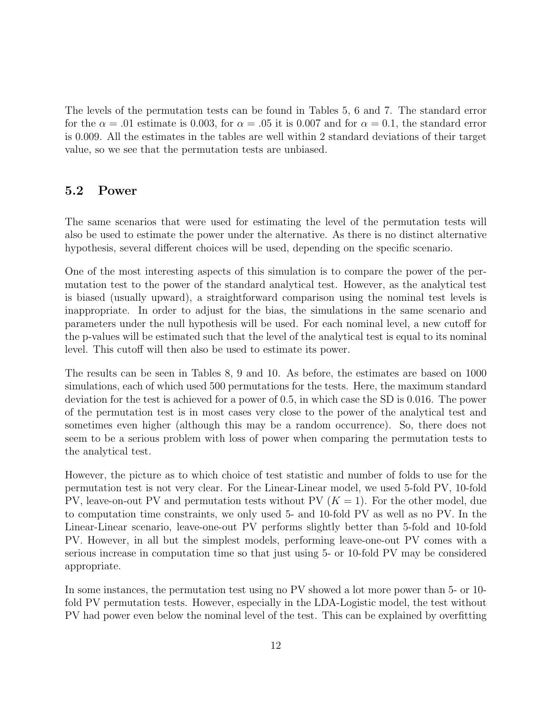The levels of the permutation tests can be found in Tables 5, 6 and 7. The standard error for the  $\alpha = .01$  estimate is 0.003, for  $\alpha = .05$  it is 0.007 and for  $\alpha = 0.1$ , the standard error is 0.009. All the estimates in the tables are well within 2 standard deviations of their target value, so we see that the permutation tests are unbiased.

#### 5.2 Power

The same scenarios that were used for estimating the level of the permutation tests will also be used to estimate the power under the alternative. As there is no distinct alternative hypothesis, several different choices will be used, depending on the specific scenario.

One of the most interesting aspects of this simulation is to compare the power of the permutation test to the power of the standard analytical test. However, as the analytical test is biased (usually upward), a straightforward comparison using the nominal test levels is inappropriate. In order to adjust for the bias, the simulations in the same scenario and parameters under the null hypothesis will be used. For each nominal level, a new cutoff for the p-values will be estimated such that the level of the analytical test is equal to its nominal level. This cutoff will then also be used to estimate its power.

The results can be seen in Tables 8, 9 and 10. As before, the estimates are based on 1000 simulations, each of which used 500 permutations for the tests. Here, the maximum standard deviation for the test is achieved for a power of 0.5, in which case the SD is 0.016. The power of the permutation test is in most cases very close to the power of the analytical test and sometimes even higher (although this may be a random occurrence). So, there does not seem to be a serious problem with loss of power when comparing the permutation tests to the analytical test.

However, the picture as to which choice of test statistic and number of folds to use for the permutation test is not very clear. For the Linear-Linear model, we used 5-fold PV, 10-fold PV, leave-on-out PV and permutation tests without PV  $(K = 1)$ . For the other model, due to computation time constraints, we only used 5- and 10-fold PV as well as no PV. In the Linear-Linear scenario, leave-one-out PV performs slightly better than 5-fold and 10-fold PV. However, in all but the simplest models, performing leave-one-out PV comes with a serious increase in computation time so that just using 5- or 10-fold PV may be considered appropriate.

In some instances, the permutation test using no PV showed a lot more power than 5- or 10 fold PV permutation tests. However, especially in the LDA-Logistic model, the test without PV had power even below the nominal level of the test. This can be explained by overfitting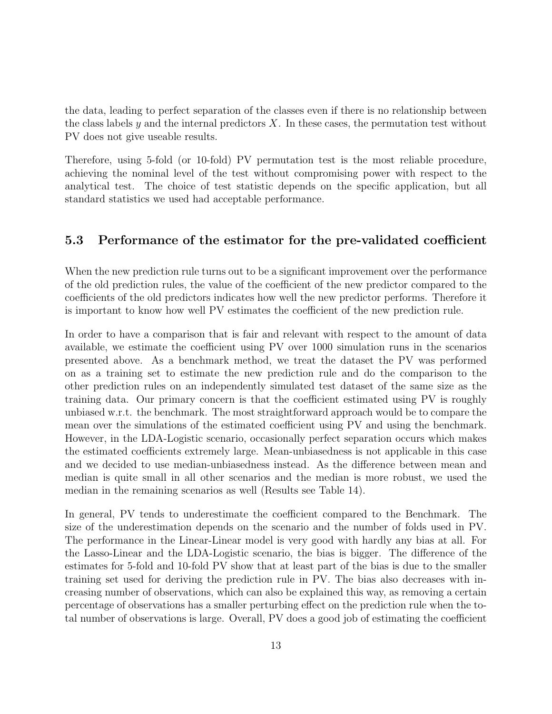the data, leading to perfect separation of the classes even if there is no relationship between the class labels y and the internal predictors  $X$ . In these cases, the permutation test without PV does not give useable results.

Therefore, using 5-fold (or 10-fold) PV permutation test is the most reliable procedure, achieving the nominal level of the test without compromising power with respect to the analytical test. The choice of test statistic depends on the specific application, but all standard statistics we used had acceptable performance.

#### 5.3 Performance of the estimator for the pre-validated coefficient

When the new prediction rule turns out to be a significant improvement over the performance of the old prediction rules, the value of the coefficient of the new predictor compared to the coefficients of the old predictors indicates how well the new predictor performs. Therefore it is important to know how well PV estimates the coefficient of the new prediction rule.

In order to have a comparison that is fair and relevant with respect to the amount of data available, we estimate the coefficient using PV over 1000 simulation runs in the scenarios presented above. As a benchmark method, we treat the dataset the PV was performed on as a training set to estimate the new prediction rule and do the comparison to the other prediction rules on an independently simulated test dataset of the same size as the training data. Our primary concern is that the coefficient estimated using PV is roughly unbiased w.r.t. the benchmark. The most straightforward approach would be to compare the mean over the simulations of the estimated coefficient using PV and using the benchmark. However, in the LDA-Logistic scenario, occasionally perfect separation occurs which makes the estimated coefficients extremely large. Mean-unbiasedness is not applicable in this case and we decided to use median-unbiasedness instead. As the difference between mean and median is quite small in all other scenarios and the median is more robust, we used the median in the remaining scenarios as well (Results see Table 14).

In general, PV tends to underestimate the coefficient compared to the Benchmark. The size of the underestimation depends on the scenario and the number of folds used in PV. The performance in the Linear-Linear model is very good with hardly any bias at all. For the Lasso-Linear and the LDA-Logistic scenario, the bias is bigger. The difference of the estimates for 5-fold and 10-fold PV show that at least part of the bias is due to the smaller training set used for deriving the prediction rule in PV. The bias also decreases with increasing number of observations, which can also be explained this way, as removing a certain percentage of observations has a smaller perturbing effect on the prediction rule when the total number of observations is large. Overall, PV does a good job of estimating the coefficient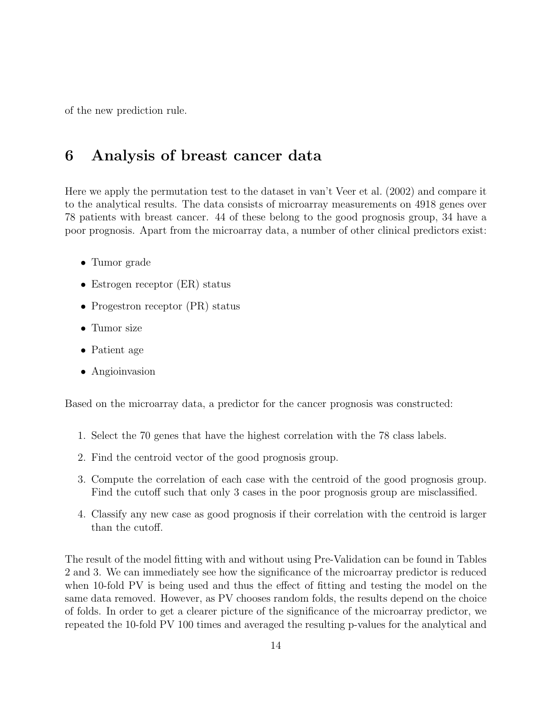of the new prediction rule.

## 6 Analysis of breast cancer data

Here we apply the permutation test to the dataset in van't Veer et al. (2002) and compare it to the analytical results. The data consists of microarray measurements on 4918 genes over 78 patients with breast cancer. 44 of these belong to the good prognosis group, 34 have a poor prognosis. Apart from the microarray data, a number of other clinical predictors exist:

- Tumor grade
- Estrogen receptor (ER) status
- Progestron receptor (PR) status
- Tumor size
- Patient age
- Angioinvasion

Based on the microarray data, a predictor for the cancer prognosis was constructed:

- 1. Select the 70 genes that have the highest correlation with the 78 class labels.
- 2. Find the centroid vector of the good prognosis group.
- 3. Compute the correlation of each case with the centroid of the good prognosis group. Find the cutoff such that only 3 cases in the poor prognosis group are misclassified.
- 4. Classify any new case as good prognosis if their correlation with the centroid is larger than the cutoff.

The result of the model fitting with and without using Pre-Validation can be found in Tables 2 and 3. We can immediately see how the significance of the microarray predictor is reduced when 10-fold PV is being used and thus the effect of fitting and testing the model on the same data removed. However, as PV chooses random folds, the results depend on the choice of folds. In order to get a clearer picture of the significance of the microarray predictor, we repeated the 10-fold PV 100 times and averaged the resulting p-values for the analytical and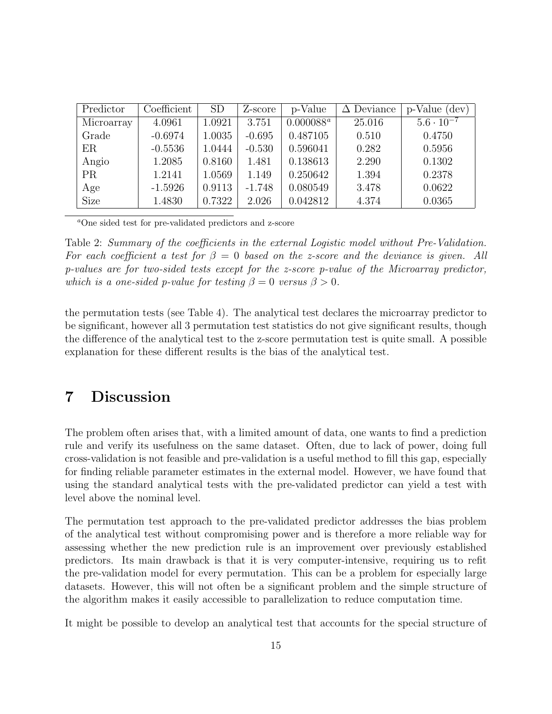| Predictor   | Coefficient | <b>SD</b> | Z-score  | p-Value      | $\Delta$ Deviance | p-Value (<br>$(\text{dev})$ |
|-------------|-------------|-----------|----------|--------------|-------------------|-----------------------------|
| Microarray  | 4.0961      | 1.0921    | 3.751    | $0.000088^a$ | 25.016            | $5.6 \cdot 10^{-7}$         |
| Grade       | $-0.6974$   | 1.0035    | $-0.695$ | 0.487105     | 0.510             | 0.4750                      |
| ER          | $-0.5536$   | 1.0444    | $-0.530$ | 0.596041     | 0.282             | 0.5956                      |
| Angio       | 1.2085      | 0.8160    | 1.481    | 0.138613     | 2.290             | 0.1302                      |
| <b>PR</b>   | 1.2141      | 1.0569    | 1.149    | 0.250642     | 1.394             | 0.2378                      |
| Age         | $-1.5926$   | 0.9113    | $-1.748$ | 0.080549     | 3.478             | 0.0622                      |
| <b>Size</b> | 1.4830      | 0.7322    | 2.026    | 0.042812     | 4.374             | 0.0365                      |

<sup>a</sup>One sided test for pre-validated predictors and z-score

Table 2: Summary of the coefficients in the external Logistic model without Pre-Validation. For each coefficient a test for  $\beta = 0$  based on the z-score and the deviance is given. All p-values are for two-sided tests except for the z-score p-value of the Microarray predictor, which is a one-sided p-value for testing  $\beta = 0$  versus  $\beta > 0$ .

the permutation tests (see Table 4). The analytical test declares the microarray predictor to be significant, however all 3 permutation test statistics do not give significant results, though the difference of the analytical test to the z-score permutation test is quite small. A possible explanation for these different results is the bias of the analytical test.

## 7 Discussion

The problem often arises that, with a limited amount of data, one wants to find a prediction rule and verify its usefulness on the same dataset. Often, due to lack of power, doing full cross-validation is not feasible and pre-validation is a useful method to fill this gap, especially for finding reliable parameter estimates in the external model. However, we have found that using the standard analytical tests with the pre-validated predictor can yield a test with level above the nominal level.

The permutation test approach to the pre-validated predictor addresses the bias problem of the analytical test without compromising power and is therefore a more reliable way for assessing whether the new prediction rule is an improvement over previously established predictors. Its main drawback is that it is very computer-intensive, requiring us to refit the pre-validation model for every permutation. This can be a problem for especially large datasets. However, this will not often be a significant problem and the simple structure of the algorithm makes it easily accessible to parallelization to reduce computation time.

It might be possible to develop an analytical test that accounts for the special structure of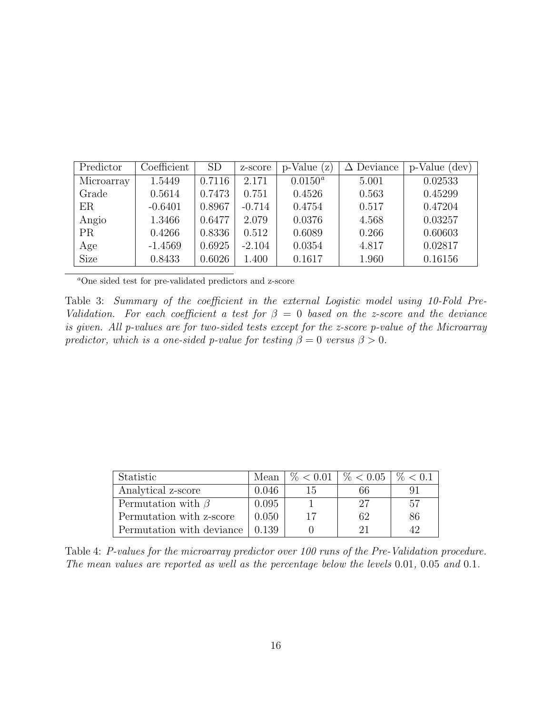| Predictor   | Coefficient | <b>SD</b> | z-score  | $p$ -Value $(z)$ | $\Delta$ Deviance | p-Value<br>$(\text{dev})$ |
|-------------|-------------|-----------|----------|------------------|-------------------|---------------------------|
| Microarray  | 1.5449      | 0.7116    | 2.171    | $0.0150^a$       | 5.001             | 0.02533                   |
| Grade       | 0.5614      | 0.7473    | 0.751    | 0.4526           | 0.563             | 0.45299                   |
| ER          | $-0.6401$   | 0.8967    | $-0.714$ | 0.4754           | 0.517             | 0.47204                   |
| Angio       | 1.3466      | 0.6477    | 2.079    | 0.0376           | 4.568             | 0.03257                   |
| <b>PR</b>   | 0.4266      | 0.8336    | 0.512    | 0.6089           | 0.266             | 0.60603                   |
| Age         | $-1.4569$   | 0.6925    | $-2.104$ | 0.0354           | 4.817             | 0.02817                   |
| <b>Size</b> | 0.8433      | 0.6026    | 1.400    | 0.1617           | 1.960             | 0.16156                   |

<sup>a</sup>One sided test for pre-validated predictors and z-score

Table 3: Summary of the coefficient in the external Logistic model using 10-Fold Pre-Validation. For each coefficient a test for  $\beta = 0$  based on the z-score and the deviance is given. All p-values are for two-sided tests except for the z-score p-value of the Microarray predictor, which is a one-sided p-value for testing  $\beta = 0$  versus  $\beta > 0$ .

| Statistic                 | Mean  |    | $\%$ < 0.01   $\%$ < 0.05   $\%$ < 0.1 |    |
|---------------------------|-------|----|----------------------------------------|----|
| Analytical z-score        | 0.046 | 15 | 66                                     |    |
| Permutation with $\beta$  | 0.095 |    | 27                                     | 57 |
| Permutation with z-score  | 0.050 | 17 | 62                                     | 86 |
| Permutation with deviance | 0.139 |    |                                        |    |

Table 4: P-values for the microarray predictor over 100 runs of the Pre-Validation procedure. The mean values are reported as well as the percentage below the levels 0.01, 0.05 and 0.1.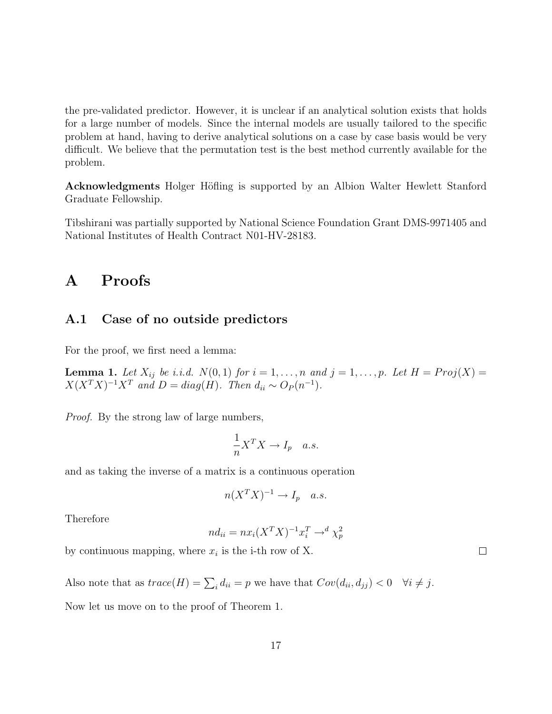the pre-validated predictor. However, it is unclear if an analytical solution exists that holds for a large number of models. Since the internal models are usually tailored to the specific problem at hand, having to derive analytical solutions on a case by case basis would be very difficult. We believe that the permutation test is the best method currently available for the problem.

Acknowledgments Holger Höfling is supported by an Albion Walter Hewlett Stanford Graduate Fellowship.

Tibshirani was partially supported by National Science Foundation Grant DMS-9971405 and National Institutes of Health Contract N01-HV-28183.

## A Proofs

#### A.1 Case of no outside predictors

For the proof, we first need a lemma:

**Lemma 1.** Let  $X_{ij}$  be i.i.d.  $N(0, 1)$  for  $i = 1, \ldots, n$  and  $j = 1, \ldots, p$ . Let  $H = Proj(X)$  $X(X^T X)^{-1} X^T$  and  $D = diag(H)$ . Then  $d_{ii} \sim O_P(n^{-1})$ .

Proof. By the strong law of large numbers,

$$
\frac{1}{n}X^TX \to I_p \quad a.s.
$$

and as taking the inverse of a matrix is a continuous operation

$$
n(X^TX)^{-1} \to I_p \quad a.s.
$$

Therefore

$$
nd_{ii} = nx_i (X^T X)^{-1} x_i^T \rightarrow^d \chi_p^2
$$

by continuous mapping, where  $x_i$  is the i-th row of X.

Also note that as  $trace(H) = \sum_i d_{ii} = p$  we have that  $Cov(d_{ii}, d_{jj}) < 0 \quad \forall i \neq j$ .

Now let us move on to the proof of Theorem 1.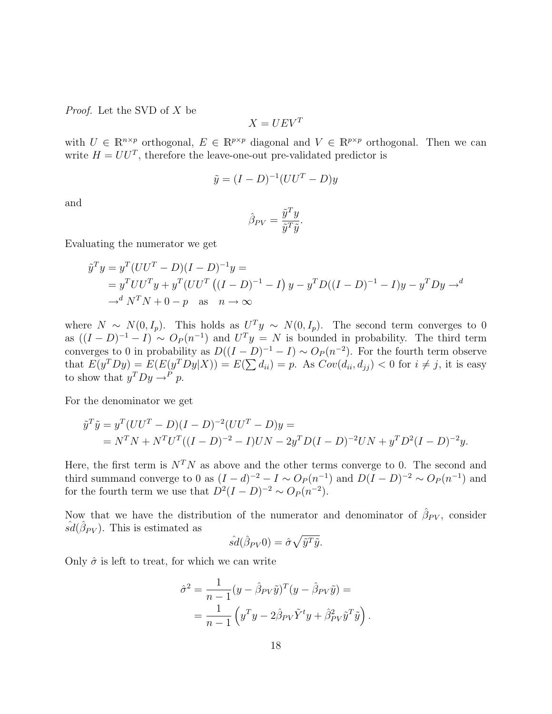Proof. Let the SVD of X be

$$
X = UEV^T
$$

with  $U \in \mathbb{R}^{n \times p}$  orthogonal,  $E \in \mathbb{R}^{p \times p}$  diagonal and  $V \in \mathbb{R}^{p \times p}$  orthogonal. Then we can write  $H = U U^T$ , therefore the leave-one-out pre-validated predictor is

$$
\tilde{y} = (I - D)^{-1} (UU^T - D)y
$$

and

$$
\hat{\beta}_{PV} = \frac{\tilde{y}^T y}{\tilde{y}^T \tilde{y}}.
$$

Evaluating the numerator we get

$$
\tilde{y}^T y = y^T (UU^T - D)(I - D)^{-1}y =
$$
\n
$$
= y^T U U^T y + y^T (UU^T ((I - D)^{-1} - I) y - y^T D ((I - D)^{-1} - I) y - y^T D y \to d
$$
\n
$$
\to^d N^T N + 0 - p \quad \text{as} \quad n \to \infty
$$

where  $N \sim N(0, I_p)$ . This holds as  $U^T y \sim N(0, I_p)$ . The second term converges to 0 as  $((I - D)^{-1} - I) \sim O_P(n^{-1})$  and  $U^T y = N$  is bounded in probability. The third term converges to 0 in probability as  $D((I - D)^{-1} - I) \sim O_P(n^{-2})$ . For the fourth term observe that  $E(y^T D y) = E(E(y^T D y | X)) = E(\sum d_{ii}) = p$ . As  $Cov(d_{ii}, d_{jj}) < 0$  for  $i \neq j$ , it is easy to show that  $y^T D y \rightarrow^P p$ .

For the denominator we get

$$
\tilde{y}^T \tilde{y} = y^T (UU^T - D)(I - D)^{-2} (UU^T - D)y =
$$
  
=  $N^T N + N^T U^T ((I - D)^{-2} - I) U N - 2y^T D (I - D)^{-2} U N + y^T D^2 (I - D)^{-2} y.$ 

Here, the first term is  $N^T N$  as above and the other terms converge to 0. The second and third summand converge to 0 as  $(I - d)^{-2} - I \sim O_P(n^{-1})$  and  $D(I - D)^{-2} \sim O_P(n^{-1})$  and for the fourth term we use that  $D^2(I-D)^{-2} \sim O_P(n^{-2})$ .

Now that we have the distribution of the numerator and denominator of  $\hat{\beta}_{PV}$ , consider  $\hat{sd}(\hat{\beta}_{PV})$ . This is estimated as

$$
\hat{sd}(\hat{\beta}_{PV}0) = \hat{\sigma}\sqrt{\tilde{y}^T\tilde{y}}.
$$

Only  $\hat{\sigma}$  is left to treat, for which we can write

$$
\hat{\sigma}^2 = \frac{1}{n-1} (y - \hat{\beta}_{PV} \tilde{y})^T (y - \hat{\beta}_{PV} \tilde{y}) =
$$
  
= 
$$
\frac{1}{n-1} (y^T y - 2\hat{\beta}_{PV} \tilde{Y}^t y + \hat{\beta}_{PV}^2 \tilde{y}^T \tilde{y}).
$$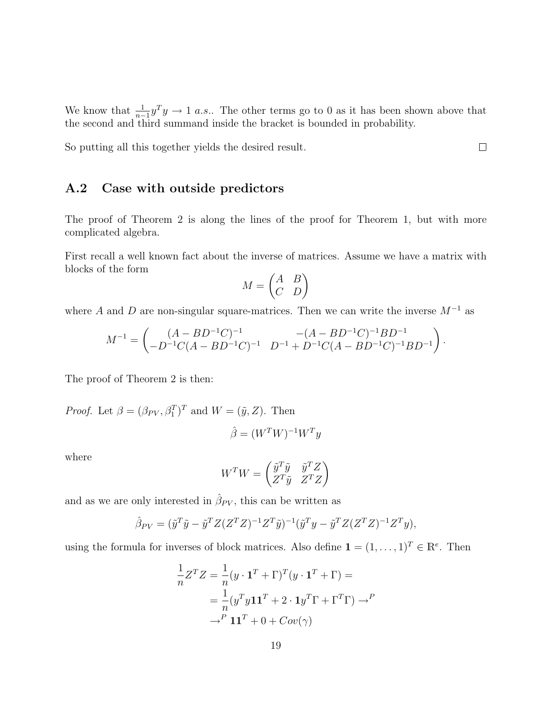We know that  $\frac{1}{n-1}y^T y \to 1$  a.s.. The other terms go to 0 as it has been shown above that the second and third summand inside the bracket is bounded in probability.

So putting all this together yields the desired result.

#### A.2 Case with outside predictors

The proof of Theorem 2 is along the lines of the proof for Theorem 1, but with more complicated algebra.

First recall a well known fact about the inverse of matrices. Assume we have a matrix with blocks of the form

$$
M = \begin{pmatrix} A & B \\ C & D \end{pmatrix}
$$

where A and D are non-singular square-matrices. Then we can write the inverse  $M^{-1}$  as

$$
M^{-1} = \begin{pmatrix} (A - BD^{-1}C)^{-1} & -(A - BD^{-1}C)^{-1}BD^{-1} \\ -D^{-1}C(A - BD^{-1}C)^{-1} & D^{-1} + D^{-1}C(A - BD^{-1}C)^{-1}BD^{-1} \end{pmatrix}.
$$

The proof of Theorem 2 is then:

*Proof.* Let  $\beta = (\beta_{PV}, \beta_1^T)^T$  and  $W = (\tilde{y}, Z)$ . Then

$$
\hat{\beta} = (W^T W)^{-1} W^T y
$$

where

$$
W^{T}W = \begin{pmatrix} \tilde{y}^{T}\tilde{y} & \tilde{y}^{T}Z \\ Z^{T}\tilde{y} & Z^{T}Z \end{pmatrix}
$$

and as we are only interested in  $\hat{\beta}_{PV}$ , this can be written as

$$
\hat{\beta}_{PV} = (\tilde{y}^T \tilde{y} - \tilde{y}^T Z (Z^T Z)^{-1} Z^T \tilde{y})^{-1} (\tilde{y}^T y - \tilde{y}^T Z (Z^T Z)^{-1} Z^T y),
$$

using the formula for inverses of block matrices. Also define  $\mathbf{1} = (1, \ldots, 1)^T \in \mathbb{R}^e$ . Then

$$
\frac{1}{n}Z^{T}Z = \frac{1}{n}(y \cdot \mathbf{1}^{T} + \Gamma)^{T}(y \cdot \mathbf{1}^{T} + \Gamma) =
$$
\n
$$
= \frac{1}{n}(y^{T}y\mathbf{1}\mathbf{1}^{T} + 2 \cdot \mathbf{1}y^{T}\Gamma + \Gamma^{T}\Gamma) \rightarrow^{P}
$$
\n
$$
\rightarrow^{P} \mathbf{1}\mathbf{1}^{T} + 0 + Cov(\gamma)
$$

 $\Box$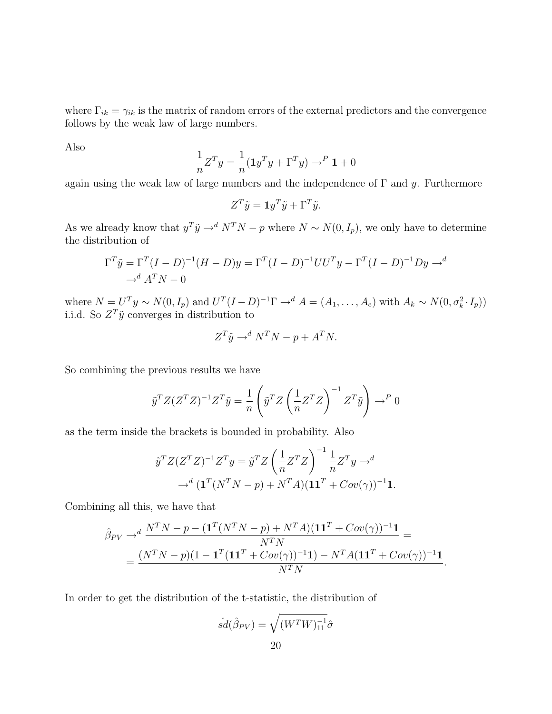where  $\Gamma_{ik} = \gamma_{ik}$  is the matrix of random errors of the external predictors and the convergence follows by the weak law of large numbers.

Also

$$
\frac{1}{n}Z^{T}y = \frac{1}{n}(\mathbf{1}y^{T}y + \Gamma^{T}y) \rightarrow^{P} \mathbf{1} + 0
$$

again using the weak law of large numbers and the independence of  $\Gamma$  and y. Furthermore

$$
Z^T\tilde y={\bf 1} y^T\tilde y+\Gamma^T\tilde y.
$$

As we already know that  $y^T \tilde{y} \to^d N^T N - p$  where  $N \sim N(0, I_p)$ , we only have to determine the distribution of

$$
\Gamma^T \tilde{y} = \Gamma^T (I - D)^{-1} (H - D) y = \Gamma^T (I - D)^{-1} U U^T y - \Gamma^T (I - D)^{-1} D y \to^d
$$
  

$$
\to^d A^T N - 0
$$

where  $N = U^T y \sim N(0, I_p)$  and  $U^T (I - D)^{-1} \Gamma \rightarrow d A = (A_1, \ldots, A_e)$  with  $A_k \sim N(0, \sigma_k^2 \cdot I_p)$ i.i.d. So  $Z^T\tilde{y}$  converges in distribution to

$$
Z^T \tilde{y} \to^d N^T N - p + A^T N.
$$

So combining the previous results we have

$$
\tilde{y}^T Z (Z^T Z)^{-1} Z^T \tilde{y} = \frac{1}{n} \left( \tilde{y}^T Z \left( \frac{1}{n} Z^T Z \right)^{-1} Z^T \tilde{y} \right) \to^P 0
$$

as the term inside the brackets is bounded in probability. Also

$$
\tilde{y}^T Z (Z^T Z)^{-1} Z^T y = \tilde{y}^T Z \left(\frac{1}{n} Z^T Z\right)^{-1} \frac{1}{n} Z^T y \to d
$$

$$
\to^d (\mathbf{1}^T (N^T N - p) + N^T A)(\mathbf{1} \mathbf{1}^T + Cov(\gamma))^{-1} \mathbf{1}.
$$

Combining all this, we have that

$$
\hat{\beta}_{PV} \rightarrow^d \frac{N^T N - p - (\mathbf{1}^T (N^T N - p) + N^T A)(\mathbf{1} \mathbf{1}^T + Cov(\gamma))^{-1} \mathbf{1}}{N^T N} =
$$
\n
$$
= \frac{(N^T N - p)(1 - \mathbf{1}^T (\mathbf{1} \mathbf{1}^T + Cov(\gamma))^{-1} \mathbf{1}) - N^T A (\mathbf{1} \mathbf{1}^T + Cov(\gamma))^{-1} \mathbf{1}}{N^T N}
$$

.

In order to get the distribution of the t-statistic, the distribution of

$$
\hat{sd}(\hat{\beta}_{PV}) = \sqrt{(W^T W)^{-1}_{11}} \hat{\sigma}
$$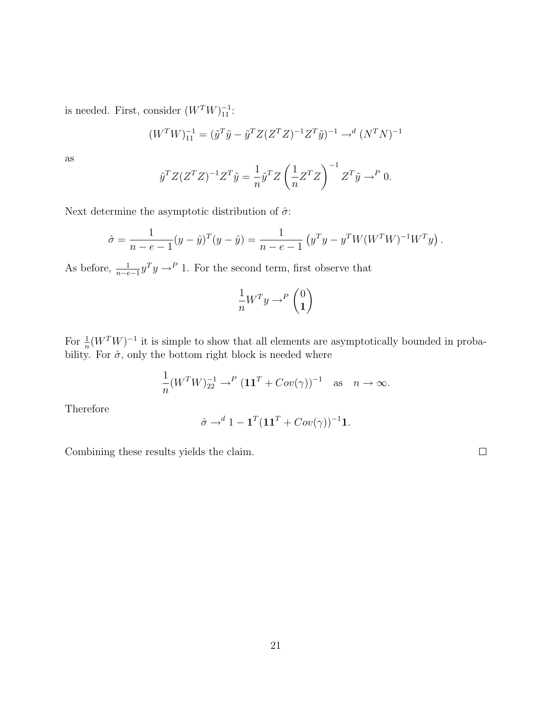is needed. First, consider  $(W^TW)_{11}^{-1}$ :

$$
(W^{T}W)_{11}^{-1} = (\tilde{y}^{T}\tilde{y} - \tilde{y}^{T}Z(Z^{T}Z)^{-1}Z^{T}\tilde{y})^{-1} \rightarrow^{d} (N^{T}N)^{-1}
$$

as

$$
\tilde{y}^T Z (Z^T Z)^{-1} Z^T \tilde{y} = \frac{1}{n} \tilde{y}^T Z \left(\frac{1}{n} Z^T Z\right)^{-1} Z^T \tilde{y} \to^P 0.
$$

Next determine the asymptotic distribution of  $\hat{\sigma}$ :

$$
\hat{\sigma} = \frac{1}{n - e - 1} (y - \hat{y})^T (y - \hat{y}) = \frac{1}{n - e - 1} (y^T y - y^T W (W^T W)^{-1} W^T y).
$$

As before,  $\frac{1}{n-e-1}y^T y \rightarrow^P 1$ . For the second term, first observe that

$$
\frac{1}{n}W^T y \to^P \begin{pmatrix} 0 \\ 1 \end{pmatrix}
$$

For  $\frac{1}{n}(W^TW)^{-1}$  it is simple to show that all elements are asymptotically bounded in probability. For  $\hat{\sigma}$ , only the bottom right block is needed where

$$
\frac{1}{n}(W^T W)_{22}^{-1} \to^P (11^T + Cov(\gamma))^{-1} \text{ as } n \to \infty.
$$

Therefore

$$
\hat{\sigma} \rightarrow^d 1 - \mathbf{1}^T (\mathbf{1}\mathbf{1}^T + Cov(\gamma))^{-1} \mathbf{1}.
$$

Combining these results yields the claim.

 $\Box$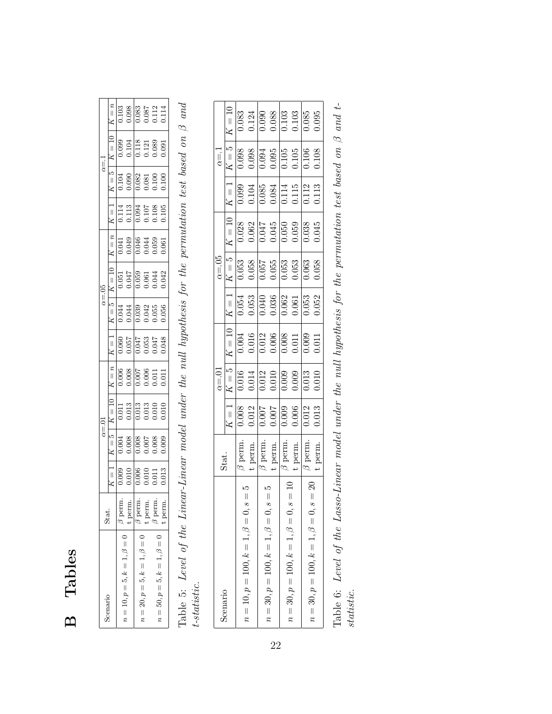# B Tables

| $\alpha = 1$   | $K = n$<br>$K=5$   $K=10$         |                                   | $\frac{0.03}{0.088}$<br>0.0887<br>0.087114<br>$\begin{array}{r} 0.099 \\ 0.104 \\ 0.118 \\ 0.089 \\ 0.091 \end{array}$ |                                   |    |                                   |  |
|----------------|-----------------------------------|-----------------------------------|------------------------------------------------------------------------------------------------------------------------|-----------------------------------|----|-----------------------------------|--|
|                |                                   |                                   | 0.104<br>0.008<br>0.008<br>0.000<br>0.100                                                                              |                                   |    |                                   |  |
|                | $K = 1$                           |                                   | $\begin{array}{r} 0.114 \\ 0.113 \\ 0.094 \\ 0.107 \\ 0.108 \\ 0.105 \\ 0.105 \end{array}$                             |                                   |    |                                   |  |
|                | $n = K$                           |                                   | $0.041$<br>$0.049$<br>$0.046$<br>$0.059$<br>$0.059$<br>$0.059$                                                         |                                   |    |                                   |  |
| $\alpha = .05$ | $K = 10$                          |                                   | $\begin{array}{r} 0.051 \\ -0.047 \\ -0.059 \\ -0.061 \\ 0.044 \\ -0.042 \\ \end{array}$                               |                                   |    |                                   |  |
|                | $K=5$                             |                                   | $\begin{array}{r} 0.044 \\ 0.044 \\ 0.039 \\ 0.042 \\ 0.059 \\ 0.056 \end{array}$                                      |                                   |    |                                   |  |
|                | $K = 1$                           |                                   | 850<br>1550<br>1550<br>1550<br>1550<br>1560<br>1560                                                                    |                                   |    |                                   |  |
|                | $K = n$                           |                                   | 0.006                                                                                                                  | $\frac{1110}{20000}$              |    |                                   |  |
| $\alpha = 0$   | $\cdot \cdot$ $\overline{K} = 10$ |                                   | $\begin{array}{r} 0.011 \\ 0.013 \\ 0.013 \\ 0.013 \\ 0.010 \\ 0.010 \\ 0.010 \\ \end{array}$                          |                                   |    |                                   |  |
|                | $K=5$                             |                                   | 0.004<br>0.006<br>0.007<br>0.000<br>0.000                                                                              |                                   |    |                                   |  |
|                | $K = 1$                           |                                   | $\begin{array}{r} 0.009 \\ 0.010 \\ 0.010 \\ 0.011 \\ 0.013 \\ 0.013 \end{array}$                                      |                                   |    |                                   |  |
|                |                                   | Ė                                 | berm.                                                                                                                  | Ė.                                | d. | g.                                |  |
| onario         |                                   | $n = 10, p = 5, k = 1, \beta = 0$ |                                                                                                                        | $n = 20, p = 5, k = 1, \beta = 0$ |    | $n = 50, p = 5, k = 1, \beta = 0$ |  |

Table 5: Level of the Linear-Linear model under the null hypothesis for the permutation test based on  $\beta$  and Table 5: Level of the Linear-Linear model under the null hypothesis for the permutation test based on  $\beta$  and t-statistic.

| itat.<br>Scenario                                                                                                                                                                                                                          |                                                                                                                                                                                          |                                                                                                                                             |                                                                                                                                                                                                                  |                                                                                                                                                                                         |                                                                                                                                                          |                                                                                                                                      |                                                                                                                                                        |                                                                                                                                                                                                                    |                                                                                                                                                                                  |
|--------------------------------------------------------------------------------------------------------------------------------------------------------------------------------------------------------------------------------------------|------------------------------------------------------------------------------------------------------------------------------------------------------------------------------------------|---------------------------------------------------------------------------------------------------------------------------------------------|------------------------------------------------------------------------------------------------------------------------------------------------------------------------------------------------------------------|-----------------------------------------------------------------------------------------------------------------------------------------------------------------------------------------|----------------------------------------------------------------------------------------------------------------------------------------------------------|--------------------------------------------------------------------------------------------------------------------------------------|--------------------------------------------------------------------------------------------------------------------------------------------------------|--------------------------------------------------------------------------------------------------------------------------------------------------------------------------------------------------------------------|----------------------------------------------------------------------------------------------------------------------------------------------------------------------------------|
|                                                                                                                                                                                                                                            |                                                                                                                                                                                          |                                                                                                                                             |                                                                                                                                                                                                                  |                                                                                                                                                                                         |                                                                                                                                                          |                                                                                                                                      |                                                                                                                                                        |                                                                                                                                                                                                                    |                                                                                                                                                                                  |
|                                                                                                                                                                                                                                            |                                                                                                                                                                                          |                                                                                                                                             |                                                                                                                                                                                                                  |                                                                                                                                                                                         |                                                                                                                                                          |                                                                                                                                      |                                                                                                                                                        |                                                                                                                                                                                                                    |                                                                                                                                                                                  |
| $n = 10, p = 100, k = 1, \beta = 0, s$                                                                                                                                                                                                     |                                                                                                                                                                                          |                                                                                                                                             |                                                                                                                                                                                                                  |                                                                                                                                                                                         |                                                                                                                                                          |                                                                                                                                      |                                                                                                                                                        |                                                                                                                                                                                                                    |                                                                                                                                                                                  |
|                                                                                                                                                                                                                                            |                                                                                                                                                                                          |                                                                                                                                             |                                                                                                                                                                                                                  |                                                                                                                                                                                         |                                                                                                                                                          |                                                                                                                                      |                                                                                                                                                        |                                                                                                                                                                                                                    |                                                                                                                                                                                  |
| $n = 30, p = 100, k = 1, \beta = 0, s$                                                                                                                                                                                                     |                                                                                                                                                                                          |                                                                                                                                             |                                                                                                                                                                                                                  |                                                                                                                                                                                         |                                                                                                                                                          |                                                                                                                                      |                                                                                                                                                        |                                                                                                                                                                                                                    |                                                                                                                                                                                  |
|                                                                                                                                                                                                                                            |                                                                                                                                                                                          |                                                                                                                                             |                                                                                                                                                                                                                  |                                                                                                                                                                                         |                                                                                                                                                          |                                                                                                                                      |                                                                                                                                                        |                                                                                                                                                                                                                    |                                                                                                                                                                                  |
| $\begin{minipage}{0.9\linewidth} \begin{tabular}{l} \hline \texttt{mem.} \\ \texttt{mem.} \\ \texttt{mem.} \\ \texttt{mem.} \\ \texttt{mem.} \\ \texttt{mem.} \\ \texttt{mem.} \\ \end{tabular}$<br>$n = 30, p = 100, k = 1, \beta = 0, s$ | $K = 1$<br>$\overline{0.008}$<br>$\overline{0.012}$<br>$\overline{0.007}$<br>$\overline{0.007}$<br>$\overline{0.008}$<br>$\overline{0.0042}$<br>$\overline{0.013}$<br>$\overline{0.013}$ | $\begin{array}{r} a = .01 \\ \hline K = 5 \\ 0.016 \\ 0.0114 \\ 0.012 \\ 0.010 \\ 0.009 \\ 0.003 \\ 0.013 \\ 0.010 \\ 0.013 \\ \end{array}$ | $K = 10$<br>$\begin{array}{c c}\n 1004 \\  \hline\n 0.016 \\  \hline\n 0.012 \\  \hline\n 0.008 \\  \hline\n 0.008 \\  \hline\n 0.0011 \\  \hline\n 0.009 \\  \hline\n 0.0011 \\  \hline\n 0.0011\n \end{array}$ | $K = 1$<br>$\overline{0.054}$<br>$\overline{0.053}$<br>$\overline{0.040}$<br>$\overline{0.036}$<br>$\overline{0.062}$<br>$\overline{0.053}$<br>$\overline{0.053}$<br>$\overline{0.052}$ | $\begin{array}{r l} \alpha = .05 \\ \hline K = 5 \\ \hline 0.053 \\ 0.058 \\ 0.057 \\ 0.055 \\ 0.053 \\ 0.053 \\ 0.063 \\ 0.063 \\ 0.063 \\ \end{array}$ | $\begin{tabular}{c c c} $K=10$ & $K=10$ \\ \hline 0.028 & 0.062 \\ 0.062 & 0.047 \\ 0.045 & 0.059 \\ 0.050 & 0.038 \\ \end{tabular}$ | $\begin{array}{r} \hline K = 1 \\ \hline 0.099 \\ 0.104 \\ 0.085 \\ 0.084 \\ 0.014 \\ 0.115 \\ 0.115 \\ 0.112 \\ 0.113 \\ 0.113 \\ \hline \end{array}$ | $\begin{array}{r} \n a = 1 \\  \hline\n k = 5 \\  \hline\n 6098 \\  0.098 \\  0.094 \\  0.095 \\  0.095 \\  0.095 \\  0.095 \\  0.005 \\  0.005 \\  0.008 \\  0.009 \\  0.009 \\  0.009 \\  0.008 \\  \end{array}$ | $K = 10$<br>$K = 0.33$<br>$\overline{0.033}$<br>$\overline{0.033}$<br>$\overline{0.033}$<br>$\overline{0.033}$<br>$\overline{0.033}$<br>$\overline{0.035}$<br>$\overline{0.095}$ |
|                                                                                                                                                                                                                                            |                                                                                                                                                                                          |                                                                                                                                             |                                                                                                                                                                                                                  |                                                                                                                                                                                         |                                                                                                                                                          |                                                                                                                                      |                                                                                                                                                        |                                                                                                                                                                                                                    |                                                                                                                                                                                  |
| perm<br>$n = 30, p = 100, k = 1, \beta = 0, s$                                                                                                                                                                                             |                                                                                                                                                                                          |                                                                                                                                             |                                                                                                                                                                                                                  |                                                                                                                                                                                         |                                                                                                                                                          |                                                                                                                                      |                                                                                                                                                        |                                                                                                                                                                                                                    |                                                                                                                                                                                  |

Table 6: Level of the Lasso-Linear model under the null hypothesis for the permutation test based on β and t-Table 6: Level of the Lasso-Linear model under the null hypothesis for the permutation test based on  $\beta$  and t-statistic.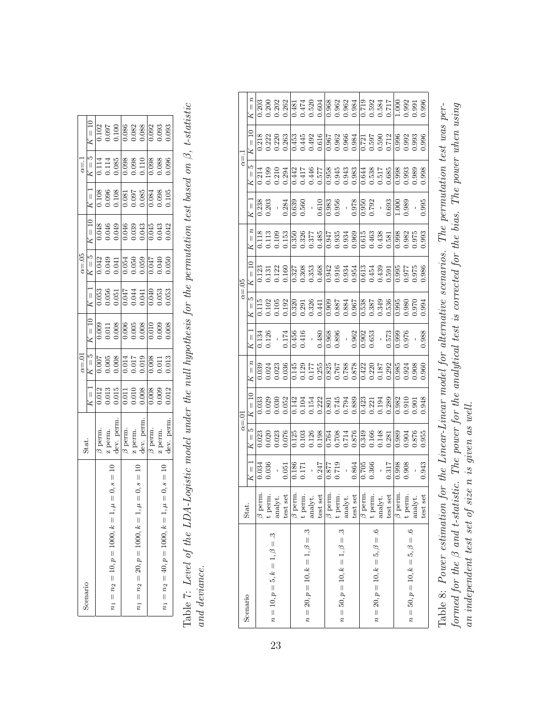| Scenario                                                | Stat.              |                                                                                                                                                                                | $\alpha{=}.01$                                                                                                                                                                                 |                                                                                                                            | $\alpha = 05$                                                                                                                                      |                                                                                                                                                                                                                                                                                                           | $\alpha = 1$ |                                                                                                                                                 |
|---------------------------------------------------------|--------------------|--------------------------------------------------------------------------------------------------------------------------------------------------------------------------------|------------------------------------------------------------------------------------------------------------------------------------------------------------------------------------------------|----------------------------------------------------------------------------------------------------------------------------|----------------------------------------------------------------------------------------------------------------------------------------------------|-----------------------------------------------------------------------------------------------------------------------------------------------------------------------------------------------------------------------------------------------------------------------------------------------------------|--------------|-------------------------------------------------------------------------------------------------------------------------------------------------|
|                                                         |                    | $K = 1$                                                                                                                                                                        |                                                                                                                                                                                                |                                                                                                                            |                                                                                                                                                    |                                                                                                                                                                                                                                                                                                           | $K=5$        | $K = 10$                                                                                                                                        |
|                                                         | perm.              |                                                                                                                                                                                |                                                                                                                                                                                                |                                                                                                                            |                                                                                                                                                    |                                                                                                                                                                                                                                                                                                           |              |                                                                                                                                                 |
|                                                         | perm.              |                                                                                                                                                                                |                                                                                                                                                                                                |                                                                                                                            |                                                                                                                                                    |                                                                                                                                                                                                                                                                                                           |              |                                                                                                                                                 |
| $1, \mu = 0, s = 1$<br>$n_1 = n_2 = 10, p = 1000, k =$  | lev. pern          |                                                                                                                                                                                |                                                                                                                                                                                                |                                                                                                                            |                                                                                                                                                    |                                                                                                                                                                                                                                                                                                           |              |                                                                                                                                                 |
|                                                         | 3 perm.            |                                                                                                                                                                                |                                                                                                                                                                                                |                                                                                                                            |                                                                                                                                                    |                                                                                                                                                                                                                                                                                                           |              |                                                                                                                                                 |
|                                                         | · perm.            |                                                                                                                                                                                |                                                                                                                                                                                                |                                                                                                                            |                                                                                                                                                    |                                                                                                                                                                                                                                                                                                           |              |                                                                                                                                                 |
| $1, \mu = 0, s = 10$<br>$n_1 = n_2 = 20, p = 1000, k =$ | lev. pern          | $\begin{array}{r} 0.012 \\ 0.013 \\ 0.015 \\ 0.011 \\ 0.010 \\ 0.008 \\ 0.008 \\ 0.009 \\ 0.012 \\ 0.000 \\ 0.012 \\ 0.012 \\ 0.012 \\ 0.012 \\ 0.013 \\ 0.013 \\ \end{array}$ | $\begin{tabular}{ l l l l } \hline $K=\bar{5}$ & \\ \hline 0.007 & \\ 0.005 & \\ 0.008 & \\ 0.014 & \\ 0.011 & \\ 0.011 & \\ 0.019 & \\ 0.011 & \\ 0.011 & \\ 0.013 & \\ \hline \end{tabular}$ | $K = 10$<br>$K = 0.008$<br>$6.008$<br>$6.008$<br>$6.008$<br>$6.008$<br>$6.008$<br>$6.008$<br>$6.008$<br>$6.008$<br>$6.008$ | $\begin{array}{r} K = 5 \\ 6042 \\ 0.049 \\ 0.041 \\ 0.041 \\ 0.054 \\ 0.050 \\ 0.050 \\ 0.047 \\ 0.050 \\ 0.050 \\ 0.050 \\ 0.050 \\ \end{array}$ |                                                                                                                                                                                                                                                                                                           |              | $\frac{2}{0.102}$<br>$\frac{5}{0.000}$<br>$\frac{6}{0.000}$<br>$\frac{6}{0.000}$<br>$\frac{6}{0.000}$<br>$\frac{6}{0.000}$<br>$\frac{6}{0.000}$ |
|                                                         | 3 perm.            |                                                                                                                                                                                |                                                                                                                                                                                                |                                                                                                                            |                                                                                                                                                    |                                                                                                                                                                                                                                                                                                           |              |                                                                                                                                                 |
|                                                         | <sup>7</sup> perm. |                                                                                                                                                                                |                                                                                                                                                                                                |                                                                                                                            |                                                                                                                                                    |                                                                                                                                                                                                                                                                                                           |              |                                                                                                                                                 |
| $1, \mu = 0, s = 10$<br>$n_1 = n_2 = 40, p = 1000, k =$ |                    |                                                                                                                                                                                |                                                                                                                                                                                                |                                                                                                                            |                                                                                                                                                    | $\begin{array}{r} 11 \\ 108 \\ 0.108 \\ 0.096 \\ 0.000 \\ 0.001 \\ 0.000 \\ 0.000 \\ 0.000 \\ 0.000 \\ 0.000 \\ 0.000 \\ 0.000 \\ 0.000 \\ 0.000 \\ 0.00 \\ 0.00 \\ 0.00 \\ 0.00 \\ 0.00 \\ 0.00 \\ 0.00 \\ 0.00 \\ 0.00 \\ 0.00 \\ 0.00 \\ 0.00 \\ 0.00 \\ 0.00 \\ 0.00 \\ 0.00 \\ 0.00 \\ 0.00 \\ 0.00$ |              |                                                                                                                                                 |

Table 7: Level of the LDA-Logistic model under the null hypothesis for the permutation test based on  $\beta$ , t-statistic Table 7: Level of the LDA-Logistic model under the null hypothesis for the permutation test based on β, t-statistic  $and\ deviance.$ and deviance.

| 0.203<br>0.202<br>0.262<br>0.481<br>0.474<br>0.520<br>0.604<br>0.200<br>0.992<br>0.991<br>$\frac{1}{1}$<br>0.218<br>0.453<br>0.445<br>0.616<br>0.616<br>0.222<br>0.220<br>0.967<br>0.968<br>0.9681<br>0.550<br>0.500<br>0.712<br>0.500<br>0.996<br>0.263<br>$\begin{array}{r} 66 \\ 693 \\ 0.993 \end{array}$<br>LQ<br>0.958<br>0.945<br>0.963<br>0.538<br>0.517<br>0.638<br>0.998<br>0.998<br>0.993<br>0.214<br>0.294<br>0.442<br>175.0<br>977.0<br>175.0<br>0.989<br>0.199<br>0.210<br>$\mid \mid$<br>$\frac{0.978}{0.950}$<br>0.995<br>$\frac{238}{5}$<br>0.203<br>0.610<br>$\frac{0.983}{0.956}$<br>0.693<br>0.284<br>$\frac{1}{0.539}$<br>0.989<br>$\frac{1.000}{\sqrt{100}}$<br>$\left  {}\right $<br>$\overline{\phantom{0}}$<br>$\boldsymbol{z}$<br>$\begin{array}{l} 0.350 \\ 0.326 \\ 0.027 \\ 0.037 \\ 0.000 \\ -0.000 \\ -0.000 \\ -0.000 \\ -0.000 \\ -0.000 \\ -0.000 \\ -0.000 \\ -0.000 \\ -0.000 \\ -0.000 \\ -0.000 \\ -0.000 \\ -0.000 \\ -0.000 \\ -0.000 \\ -0.000 \\ -0.000 \\ -0.000 \\ -0.000 \\ -0.000 \\ -0.000 \\ -0.000 \\ -0.000 \\ -0.000 \\ -0.000 \\ -0.$<br>0.113<br>0.113<br>0.153<br>0.153<br>0.993<br>$\left  {}\right $<br>$\frac{1}{1}$<br>$\frac{27}{0.308}$<br>0.353<br>0.468<br>$\begin{array}{l} 0.942 \\ 0.916 \\ 0.934 \\ 0.610 \\ 0.611 \\ 0.439 \\ 0.0439 \\ 0.034 \\ 0.039 \\ \end{array}$<br>87<br>2000<br>2000<br>0.986<br>83<br>833<br>0338<br>0536<br>LQ<br>$0.995$<br>0.980<br>0.970<br>0.33<br>0.335<br>0.335<br>1115<br>1102<br>1105<br>0.192<br>0.994<br>$\left  {}\right $<br>0.988<br>0.968<br>0.896<br>$\frac{1}{0.962}$<br>0.902<br>0.653<br>0.573<br>0.126<br>0.456<br>0.416<br>0.480<br>0.976<br>1.174<br>0.134<br>$\left  {}\right $<br>$=$ $\overline{n}$<br>$\begin{array}{r} 0.825 \\ 0.767 \\ 0.788 \\ 0.878 \\ 0.422 \\ 0.187 \\ 0.0187 \\ 0.0187 \\ 0.0187 \\ 0.0187 \\ 0.0292 \\ \end{array}$<br>0.036<br> <br> 145<br> 0.177<br> 0.255<br> 0.255<br>$\frac{85}{0.924}$<br>0.924<br>0.960<br>0.039<br>0.024<br>0.023<br>$\frac{1}{1}$<br>888<br>145<br>1081<br>1081<br>1.948<br>0.033<br>0.142<br>0.104<br>0.152<br>0.222<br>$\frac{1}{23}$<br>0.289<br>$\frac{82}{0.910}$<br>0.029<br>0.52<br>0.221<br>0.194<br>×<br>LQ<br>0.876<br>0.126<br>0.198<br>0.955<br>0.076<br>$\begin{array}{c} 0.764 \\ 0.708 \\ 0.714 \end{array}$<br>0.349<br>1.876<br>0.023<br>0.020<br>$\frac{125}{25}$<br>1.66<br>0.148<br>$0.989$<br>$0.904$<br>0.103<br>0.281<br>$\left  {}\right $<br>0.36<br>0.247<br>$\frac{62}{105}$<br><b>0.366</b><br>0.317<br>0.998<br>0.943<br>0.719<br>0.864<br>0.908<br>0.877<br>0.186<br>0.051<br>0.034<br>$\left  {}\right $<br>$\frac{1}{2}$<br>17.<br>$\overline{1}$<br>$\beta$ perm.<br>$\beta$ perm.<br>$\beta$ perm.<br>$\beta$ perm.<br>$\beta$ perm.<br>test set<br>test set<br>t perm<br>$\alpha$ analyt.<br>t perm<br>$\text{analyt}.$<br>test set<br>t perm<br>analyt.<br>t perm<br>analyt.<br>test set<br>t perm<br>analyt.<br>test set<br>$n = 20, p = 10, k = 1, \beta = .3$<br>$n = 50, p = 10, k = 1, \beta = .3$<br>$n = 20, p = 10, k = 5, \beta = .6$<br>$n = 50, p = 10, k = 5, \beta = .6$<br>$n = 10, p = 5, k = 1, \beta = .3$ | Scenario | Stat. |  | $\alpha = .01$ |  | $\alpha = 05$ |  | $\alpha = 1$ |                  |
|------------------------------------------------------------------------------------------------------------------------------------------------------------------------------------------------------------------------------------------------------------------------------------------------------------------------------------------------------------------------------------------------------------------------------------------------------------------------------------------------------------------------------------------------------------------------------------------------------------------------------------------------------------------------------------------------------------------------------------------------------------------------------------------------------------------------------------------------------------------------------------------------------------------------------------------------------------------------------------------------------------------------------------------------------------------------------------------------------------------------------------------------------------------------------------------------------------------------------------------------------------------------------------------------------------------------------------------------------------------------------------------------------------------------------------------------------------------------------------------------------------------------------------------------------------------------------------------------------------------------------------------------------------------------------------------------------------------------------------------------------------------------------------------------------------------------------------------------------------------------------------------------------------------------------------------------------------------------------------------------------------------------------------------------------------------------------------------------------------------------------------------------------------------------------------------------------------------------------------------------------------------------------------------------------------------------------------------------------------------------------------------------------------------------------------------------------------------------------------------------------------------------------------------------------------------------------------------------------------------------------------------------------------------------------------------------------------------------------------------------------------------------------------------------------------------------------------------------------------------------------------------------------------------------------------------------------------------------------------------------------------------------------------------------------------------------------------------------------------------------------------------|----------|-------|--|----------------|--|---------------|--|--------------|------------------|
|                                                                                                                                                                                                                                                                                                                                                                                                                                                                                                                                                                                                                                                                                                                                                                                                                                                                                                                                                                                                                                                                                                                                                                                                                                                                                                                                                                                                                                                                                                                                                                                                                                                                                                                                                                                                                                                                                                                                                                                                                                                                                                                                                                                                                                                                                                                                                                                                                                                                                                                                                                                                                                                                                                                                                                                                                                                                                                                                                                                                                                                                                                                                          |          |       |  |                |  |               |  |              | $\mathfrak{n} =$ |
|                                                                                                                                                                                                                                                                                                                                                                                                                                                                                                                                                                                                                                                                                                                                                                                                                                                                                                                                                                                                                                                                                                                                                                                                                                                                                                                                                                                                                                                                                                                                                                                                                                                                                                                                                                                                                                                                                                                                                                                                                                                                                                                                                                                                                                                                                                                                                                                                                                                                                                                                                                                                                                                                                                                                                                                                                                                                                                                                                                                                                                                                                                                                          |          |       |  |                |  |               |  |              |                  |
|                                                                                                                                                                                                                                                                                                                                                                                                                                                                                                                                                                                                                                                                                                                                                                                                                                                                                                                                                                                                                                                                                                                                                                                                                                                                                                                                                                                                                                                                                                                                                                                                                                                                                                                                                                                                                                                                                                                                                                                                                                                                                                                                                                                                                                                                                                                                                                                                                                                                                                                                                                                                                                                                                                                                                                                                                                                                                                                                                                                                                                                                                                                                          |          |       |  |                |  |               |  |              |                  |
|                                                                                                                                                                                                                                                                                                                                                                                                                                                                                                                                                                                                                                                                                                                                                                                                                                                                                                                                                                                                                                                                                                                                                                                                                                                                                                                                                                                                                                                                                                                                                                                                                                                                                                                                                                                                                                                                                                                                                                                                                                                                                                                                                                                                                                                                                                                                                                                                                                                                                                                                                                                                                                                                                                                                                                                                                                                                                                                                                                                                                                                                                                                                          |          |       |  |                |  |               |  |              |                  |
|                                                                                                                                                                                                                                                                                                                                                                                                                                                                                                                                                                                                                                                                                                                                                                                                                                                                                                                                                                                                                                                                                                                                                                                                                                                                                                                                                                                                                                                                                                                                                                                                                                                                                                                                                                                                                                                                                                                                                                                                                                                                                                                                                                                                                                                                                                                                                                                                                                                                                                                                                                                                                                                                                                                                                                                                                                                                                                                                                                                                                                                                                                                                          |          |       |  |                |  |               |  |              |                  |
|                                                                                                                                                                                                                                                                                                                                                                                                                                                                                                                                                                                                                                                                                                                                                                                                                                                                                                                                                                                                                                                                                                                                                                                                                                                                                                                                                                                                                                                                                                                                                                                                                                                                                                                                                                                                                                                                                                                                                                                                                                                                                                                                                                                                                                                                                                                                                                                                                                                                                                                                                                                                                                                                                                                                                                                                                                                                                                                                                                                                                                                                                                                                          |          |       |  |                |  |               |  |              |                  |
|                                                                                                                                                                                                                                                                                                                                                                                                                                                                                                                                                                                                                                                                                                                                                                                                                                                                                                                                                                                                                                                                                                                                                                                                                                                                                                                                                                                                                                                                                                                                                                                                                                                                                                                                                                                                                                                                                                                                                                                                                                                                                                                                                                                                                                                                                                                                                                                                                                                                                                                                                                                                                                                                                                                                                                                                                                                                                                                                                                                                                                                                                                                                          |          |       |  |                |  |               |  |              |                  |
|                                                                                                                                                                                                                                                                                                                                                                                                                                                                                                                                                                                                                                                                                                                                                                                                                                                                                                                                                                                                                                                                                                                                                                                                                                                                                                                                                                                                                                                                                                                                                                                                                                                                                                                                                                                                                                                                                                                                                                                                                                                                                                                                                                                                                                                                                                                                                                                                                                                                                                                                                                                                                                                                                                                                                                                                                                                                                                                                                                                                                                                                                                                                          |          |       |  |                |  |               |  |              |                  |
|                                                                                                                                                                                                                                                                                                                                                                                                                                                                                                                                                                                                                                                                                                                                                                                                                                                                                                                                                                                                                                                                                                                                                                                                                                                                                                                                                                                                                                                                                                                                                                                                                                                                                                                                                                                                                                                                                                                                                                                                                                                                                                                                                                                                                                                                                                                                                                                                                                                                                                                                                                                                                                                                                                                                                                                                                                                                                                                                                                                                                                                                                                                                          |          |       |  |                |  |               |  |              |                  |
|                                                                                                                                                                                                                                                                                                                                                                                                                                                                                                                                                                                                                                                                                                                                                                                                                                                                                                                                                                                                                                                                                                                                                                                                                                                                                                                                                                                                                                                                                                                                                                                                                                                                                                                                                                                                                                                                                                                                                                                                                                                                                                                                                                                                                                                                                                                                                                                                                                                                                                                                                                                                                                                                                                                                                                                                                                                                                                                                                                                                                                                                                                                                          |          |       |  |                |  |               |  |              |                  |
|                                                                                                                                                                                                                                                                                                                                                                                                                                                                                                                                                                                                                                                                                                                                                                                                                                                                                                                                                                                                                                                                                                                                                                                                                                                                                                                                                                                                                                                                                                                                                                                                                                                                                                                                                                                                                                                                                                                                                                                                                                                                                                                                                                                                                                                                                                                                                                                                                                                                                                                                                                                                                                                                                                                                                                                                                                                                                                                                                                                                                                                                                                                                          |          |       |  |                |  |               |  |              |                  |
|                                                                                                                                                                                                                                                                                                                                                                                                                                                                                                                                                                                                                                                                                                                                                                                                                                                                                                                                                                                                                                                                                                                                                                                                                                                                                                                                                                                                                                                                                                                                                                                                                                                                                                                                                                                                                                                                                                                                                                                                                                                                                                                                                                                                                                                                                                                                                                                                                                                                                                                                                                                                                                                                                                                                                                                                                                                                                                                                                                                                                                                                                                                                          |          |       |  |                |  |               |  |              |                  |
|                                                                                                                                                                                                                                                                                                                                                                                                                                                                                                                                                                                                                                                                                                                                                                                                                                                                                                                                                                                                                                                                                                                                                                                                                                                                                                                                                                                                                                                                                                                                                                                                                                                                                                                                                                                                                                                                                                                                                                                                                                                                                                                                                                                                                                                                                                                                                                                                                                                                                                                                                                                                                                                                                                                                                                                                                                                                                                                                                                                                                                                                                                                                          |          |       |  |                |  |               |  |              |                  |
|                                                                                                                                                                                                                                                                                                                                                                                                                                                                                                                                                                                                                                                                                                                                                                                                                                                                                                                                                                                                                                                                                                                                                                                                                                                                                                                                                                                                                                                                                                                                                                                                                                                                                                                                                                                                                                                                                                                                                                                                                                                                                                                                                                                                                                                                                                                                                                                                                                                                                                                                                                                                                                                                                                                                                                                                                                                                                                                                                                                                                                                                                                                                          |          |       |  |                |  |               |  |              |                  |
|                                                                                                                                                                                                                                                                                                                                                                                                                                                                                                                                                                                                                                                                                                                                                                                                                                                                                                                                                                                                                                                                                                                                                                                                                                                                                                                                                                                                                                                                                                                                                                                                                                                                                                                                                                                                                                                                                                                                                                                                                                                                                                                                                                                                                                                                                                                                                                                                                                                                                                                                                                                                                                                                                                                                                                                                                                                                                                                                                                                                                                                                                                                                          |          |       |  |                |  |               |  |              |                  |
|                                                                                                                                                                                                                                                                                                                                                                                                                                                                                                                                                                                                                                                                                                                                                                                                                                                                                                                                                                                                                                                                                                                                                                                                                                                                                                                                                                                                                                                                                                                                                                                                                                                                                                                                                                                                                                                                                                                                                                                                                                                                                                                                                                                                                                                                                                                                                                                                                                                                                                                                                                                                                                                                                                                                                                                                                                                                                                                                                                                                                                                                                                                                          |          |       |  |                |  |               |  |              |                  |
|                                                                                                                                                                                                                                                                                                                                                                                                                                                                                                                                                                                                                                                                                                                                                                                                                                                                                                                                                                                                                                                                                                                                                                                                                                                                                                                                                                                                                                                                                                                                                                                                                                                                                                                                                                                                                                                                                                                                                                                                                                                                                                                                                                                                                                                                                                                                                                                                                                                                                                                                                                                                                                                                                                                                                                                                                                                                                                                                                                                                                                                                                                                                          |          |       |  |                |  |               |  |              |                  |
|                                                                                                                                                                                                                                                                                                                                                                                                                                                                                                                                                                                                                                                                                                                                                                                                                                                                                                                                                                                                                                                                                                                                                                                                                                                                                                                                                                                                                                                                                                                                                                                                                                                                                                                                                                                                                                                                                                                                                                                                                                                                                                                                                                                                                                                                                                                                                                                                                                                                                                                                                                                                                                                                                                                                                                                                                                                                                                                                                                                                                                                                                                                                          |          |       |  |                |  |               |  |              |                  |
|                                                                                                                                                                                                                                                                                                                                                                                                                                                                                                                                                                                                                                                                                                                                                                                                                                                                                                                                                                                                                                                                                                                                                                                                                                                                                                                                                                                                                                                                                                                                                                                                                                                                                                                                                                                                                                                                                                                                                                                                                                                                                                                                                                                                                                                                                                                                                                                                                                                                                                                                                                                                                                                                                                                                                                                                                                                                                                                                                                                                                                                                                                                                          |          |       |  |                |  |               |  |              |                  |
|                                                                                                                                                                                                                                                                                                                                                                                                                                                                                                                                                                                                                                                                                                                                                                                                                                                                                                                                                                                                                                                                                                                                                                                                                                                                                                                                                                                                                                                                                                                                                                                                                                                                                                                                                                                                                                                                                                                                                                                                                                                                                                                                                                                                                                                                                                                                                                                                                                                                                                                                                                                                                                                                                                                                                                                                                                                                                                                                                                                                                                                                                                                                          |          |       |  |                |  |               |  |              |                  |
|                                                                                                                                                                                                                                                                                                                                                                                                                                                                                                                                                                                                                                                                                                                                                                                                                                                                                                                                                                                                                                                                                                                                                                                                                                                                                                                                                                                                                                                                                                                                                                                                                                                                                                                                                                                                                                                                                                                                                                                                                                                                                                                                                                                                                                                                                                                                                                                                                                                                                                                                                                                                                                                                                                                                                                                                                                                                                                                                                                                                                                                                                                                                          |          |       |  |                |  |               |  |              |                  |

Table 8: Power estimation for the Linear-Linear model for alternative scenarios. The permutation test was performed for the  $\beta$  and t-statistic. The power for the analytical test is corrected for the bias. The power when using formed for the β and t-statistic. The power for the analytical test is corrected for the bias. The power when using Table 8: Power estimation for the Linear-Linear model for alternative scenarios. The permutation test was peran independent test set of size n is given as well. an independent test set of size n is given as well.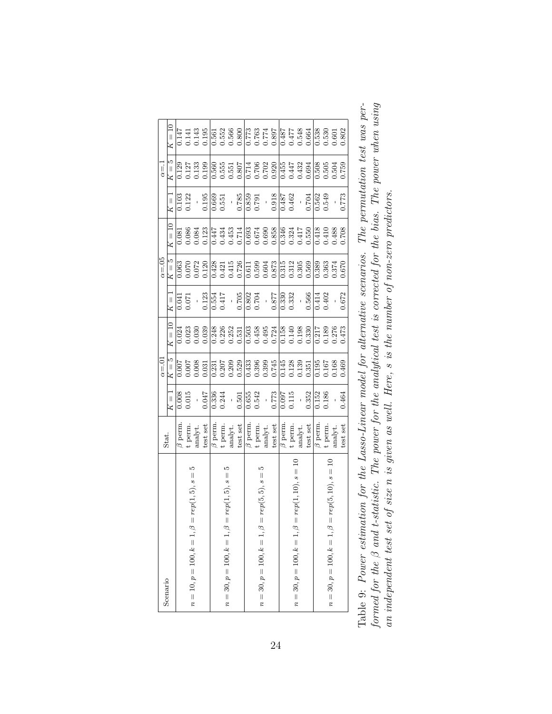| Scenario                                             | Stat.                                                                             |                                                                                | $\alpha = 0$                                                                                                                                                                                                                                                                                        |                     |                                     | $\alpha = .05$                                                                                                                                                        |                                                                                                                                                                                                                                                                                                     |                                                                                                            | $\alpha = 1$                                                                                                                                                                                                                                                                                        |        |
|------------------------------------------------------|-----------------------------------------------------------------------------------|--------------------------------------------------------------------------------|-----------------------------------------------------------------------------------------------------------------------------------------------------------------------------------------------------------------------------------------------------------------------------------------------------|---------------------|-------------------------------------|-----------------------------------------------------------------------------------------------------------------------------------------------------------------------|-----------------------------------------------------------------------------------------------------------------------------------------------------------------------------------------------------------------------------------------------------------------------------------------------------|------------------------------------------------------------------------------------------------------------|-----------------------------------------------------------------------------------------------------------------------------------------------------------------------------------------------------------------------------------------------------------------------------------------------------|--------|
|                                                      |                                                                                   | $K = 1$                                                                        | $K=5$                                                                                                                                                                                                                                                                                               | $K = \overline{10}$ | $K =$                               | $K=5$                                                                                                                                                                 | $K = 10$                                                                                                                                                                                                                                                                                            | $K = 1$                                                                                                    | $K=5$                                                                                                                                                                                                                                                                                               | $K=10$ |
|                                                      | $\beta$ perm                                                                      |                                                                                |                                                                                                                                                                                                                                                                                                     |                     |                                     |                                                                                                                                                                       |                                                                                                                                                                                                                                                                                                     |                                                                                                            |                                                                                                                                                                                                                                                                                                     |        |
| r.                                                   |                                                                                   | $\frac{0.008}{0.015}$                                                          | $\frac{2000}{20000}$                                                                                                                                                                                                                                                                                |                     | $\frac{1}{1500}$                    | $\frac{0.063}{0.072}$                                                                                                                                                 |                                                                                                                                                                                                                                                                                                     | $\frac{0.103}{0.122}$                                                                                      | $\frac{129}{0.127}$<br>0.133<br>0.139                                                                                                                                                                                                                                                               |        |
| $n = 10, p = 100, k = 1, \beta = rep(1, 5), s =$     | t perm.<br>analyt.                                                                |                                                                                |                                                                                                                                                                                                                                                                                                     |                     |                                     |                                                                                                                                                                       |                                                                                                                                                                                                                                                                                                     |                                                                                                            |                                                                                                                                                                                                                                                                                                     |        |
|                                                      | test set $\beta$ perm.                                                            | 0.047                                                                          | 0.031                                                                                                                                                                                                                                                                                               |                     |                                     | 0.120                                                                                                                                                                 |                                                                                                                                                                                                                                                                                                     | 0.195                                                                                                      |                                                                                                                                                                                                                                                                                                     |        |
|                                                      |                                                                                   | 0.336<br>0.244                                                                 |                                                                                                                                                                                                                                                                                                     |                     |                                     |                                                                                                                                                                       |                                                                                                                                                                                                                                                                                                     |                                                                                                            |                                                                                                                                                                                                                                                                                                     |        |
| r                                                    |                                                                                   |                                                                                |                                                                                                                                                                                                                                                                                                     |                     |                                     |                                                                                                                                                                       |                                                                                                                                                                                                                                                                                                     | $\frac{0.669}{0.551}$                                                                                      |                                                                                                                                                                                                                                                                                                     |        |
| $n = 30, p = 100, k = 1, \beta = rep(1, 5), s =$     |                                                                                   | $\frac{1}{0.501}$                                                              |                                                                                                                                                                                                                                                                                                     |                     |                                     |                                                                                                                                                                       |                                                                                                                                                                                                                                                                                                     |                                                                                                            |                                                                                                                                                                                                                                                                                                     |        |
|                                                      | t perm.<br>analyt.<br>test set<br>$\beta$ perm.                                   |                                                                                | $\begin{array}{r} 1.231 \\ 0.207 \\ 0.308 \\ 0.433 \\ 0.529 \\ 0.433 \\ 0.539 \\ 0.639 \\ 0.749 \\ 0.749 \\ 0.749 \\ 0.749 \\ 0.749 \\ 0.749 \\ 0.749 \\ 0.749 \\ 0.749 \\ 0.749 \\ 0.749 \\ 0.749 \\ 0.749 \\ 0.749 \\ 0.749 \\ 0.749 \\ 0.749 \\ 0.749 \\ 0.749 \\ 0.749 \\ 0.749 \\ 0.749 \\ 0.$ |                     |                                     | $\begin{array}{r} 0.428 \\ 0.421 \\ 0.415 \\ 0.617 \\ 0.611 \\ 0.611 \\ 0.603 \\ 0.604 \\ 0.872 \\ 0.312 \\ 0.305 \\ 0.305 \\ 0.305 \\ 0.305 \\ 0.305 \\ \end{array}$ | $\begin{array}{l} 0.081 \\ 0.086 \\ 0.084 \\ 0.084 \\ 0.000 \\ 0.000 \\ 0.000 \\ 0.000 \\ 0.000 \\ 0.000 \\ 0.000 \\ 0.000 \\ 0.000 \\ 0.000 \\ 0.000 \\ 0.000 \\ 0.000 \\ 0.000 \\ 0.000 \\ 0.000 \\ 0.000 \\ 0.000 \\ 0.000 \\ 0.000 \\ 0.000 \\ 0.000 \\ 0.000 \\ 0.000 \\ 0.000 \\ 0.000 \\ 0.$ | $\begin{array}{r} -10.785 \\ -0.859 \\ 0.659 \\ -0.91 \\ -0.918 \\ -0.918 \\ -0.462 \\ -0.462 \end{array}$ | $\begin{array}{r} 560 \\ 0.555 \\ 0.551 \\ 0.000 \\ 0.000 \\ 0.000 \\ 0.000 \\ 0.000 \\ 0.000 \\ 0.000 \\ 0.000 \\ 0.000 \\ 0.000 \\ 0.000 \\ 0.000 \\ 0.000 \\ 0.000 \\ 0.000 \\ 0.000 \\ 0.000 \\ 0.000 \\ 0.000 \\ 0.000 \\ 0.000 \\ 0.000 \\ 0.000 \\ 0.000 \\ 0.000 \\ 0.000 \\ 0.000 \\ 0.00$ |        |
|                                                      |                                                                                   |                                                                                |                                                                                                                                                                                                                                                                                                     |                     |                                     |                                                                                                                                                                       |                                                                                                                                                                                                                                                                                                     |                                                                                                            |                                                                                                                                                                                                                                                                                                     |        |
|                                                      |                                                                                   |                                                                                |                                                                                                                                                                                                                                                                                                     |                     |                                     |                                                                                                                                                                       |                                                                                                                                                                                                                                                                                                     |                                                                                                            |                                                                                                                                                                                                                                                                                                     |        |
| $n = 30, p = 100, k = 1, \beta = rep(5, 5), s =$     |                                                                                   |                                                                                |                                                                                                                                                                                                                                                                                                     |                     |                                     |                                                                                                                                                                       |                                                                                                                                                                                                                                                                                                     |                                                                                                            |                                                                                                                                                                                                                                                                                                     |        |
|                                                      | t perm.<br>analyt.<br>test set<br>$\frac{1}{\beta}$ perm.                         | $\begin{array}{r} 0.655 \\ 0.542 \\ - \\ 0.773 \\ 0.097 \\ \hline \end{array}$ |                                                                                                                                                                                                                                                                                                     |                     |                                     |                                                                                                                                                                       |                                                                                                                                                                                                                                                                                                     |                                                                                                            |                                                                                                                                                                                                                                                                                                     |        |
|                                                      |                                                                                   |                                                                                |                                                                                                                                                                                                                                                                                                     |                     |                                     |                                                                                                                                                                       |                                                                                                                                                                                                                                                                                                     |                                                                                                            |                                                                                                                                                                                                                                                                                                     |        |
|                                                      |                                                                                   |                                                                                |                                                                                                                                                                                                                                                                                                     |                     |                                     |                                                                                                                                                                       |                                                                                                                                                                                                                                                                                                     |                                                                                                            |                                                                                                                                                                                                                                                                                                     |        |
| $n = 30, p = 100, k = 1, \beta = rep(1, 10), s = 10$ |                                                                                   |                                                                                |                                                                                                                                                                                                                                                                                                     |                     |                                     |                                                                                                                                                                       |                                                                                                                                                                                                                                                                                                     |                                                                                                            |                                                                                                                                                                                                                                                                                                     |        |
|                                                      | $\begin{array}{ll} \mbox{t perm.}\\ \mbox{analyt.}\\ \mbox{test set} \end{array}$ | 0.352                                                                          |                                                                                                                                                                                                                                                                                                     |                     | $\frac{1}{0.566}$<br>0.566<br>0.402 | 0.569                                                                                                                                                                 |                                                                                                                                                                                                                                                                                                     | $\frac{0.704}{0.562}$                                                                                      |                                                                                                                                                                                                                                                                                                     |        |
|                                                      | $\beta$ perm                                                                      | 0.152                                                                          | 0.195<br>0.167<br>0.168                                                                                                                                                                                                                                                                             |                     |                                     | $\begin{array}{c} 0.389 \\ 0.363 \\ 0.374 \end{array}$                                                                                                                |                                                                                                                                                                                                                                                                                                     |                                                                                                            |                                                                                                                                                                                                                                                                                                     |        |
|                                                      | t perm.                                                                           | 0.186                                                                          |                                                                                                                                                                                                                                                                                                     |                     |                                     |                                                                                                                                                                       |                                                                                                                                                                                                                                                                                                     |                                                                                                            |                                                                                                                                                                                                                                                                                                     |        |
| $n = 30, p = 100, k = 1, \beta = rep(5, 10), s = 10$ | $\text{analyt}.$                                                                  |                                                                                |                                                                                                                                                                                                                                                                                                     |                     |                                     |                                                                                                                                                                       | 802.00<br>0110<br>01388                                                                                                                                                                                                                                                                             |                                                                                                            |                                                                                                                                                                                                                                                                                                     |        |
|                                                      | test set                                                                          | 0.464                                                                          | 0.469                                                                                                                                                                                                                                                                                               | 1.473               | 0.672                               | 0.670                                                                                                                                                                 |                                                                                                                                                                                                                                                                                                     | 0.773                                                                                                      | 0.759                                                                                                                                                                                                                                                                                               | 0.802  |
|                                                      |                                                                                   |                                                                                |                                                                                                                                                                                                                                                                                                     |                     |                                     |                                                                                                                                                                       |                                                                                                                                                                                                                                                                                                     |                                                                                                            |                                                                                                                                                                                                                                                                                                     |        |

|                                                                                                               | ttistic. The power for the analytical test is corrected for the bias. The power when using | size n is given as well. Here, s is the number of non-zero predictors. |
|---------------------------------------------------------------------------------------------------------------|--------------------------------------------------------------------------------------------|------------------------------------------------------------------------|
|                                                                                                               |                                                                                            |                                                                        |
|                                                                                                               |                                                                                            |                                                                        |
|                                                                                                               |                                                                                            |                                                                        |
|                                                                                                               |                                                                                            |                                                                        |
|                                                                                                               |                                                                                            |                                                                        |
|                                                                                                               |                                                                                            |                                                                        |
|                                                                                                               |                                                                                            |                                                                        |
|                                                                                                               |                                                                                            |                                                                        |
|                                                                                                               |                                                                                            |                                                                        |
| Table 9: Power estimation for the Lasso-Linear model for alternative scenarios. The permutation test was per- | $t$ ormed for the $\beta$ and $t$ -sta.                                                    | an independent test set of                                             |
|                                                                                                               |                                                                                            |                                                                        |
|                                                                                                               |                                                                                            |                                                                        |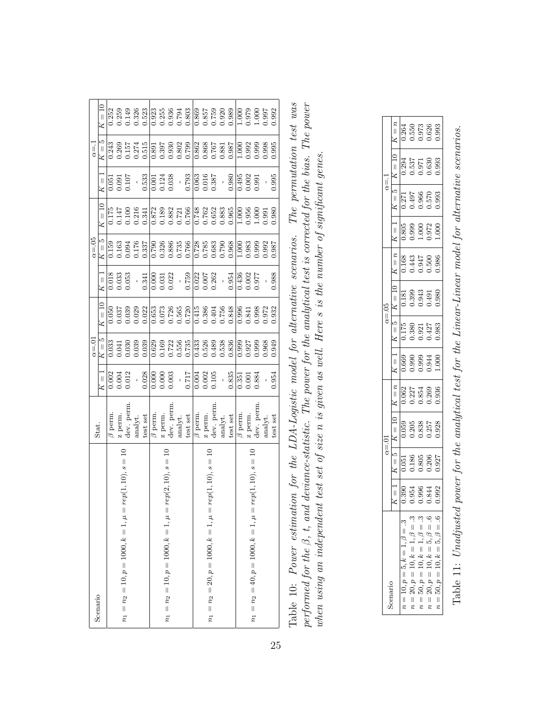| Scenario                                                          | Stat.                            |                          | $\alpha = 0$                                           |                                                                                                                                                                                                                                                                                                     |                                                                              | $\alpha = .05$       |                                                                                                                                                                                       |                                                        | $\alpha = 1$                                                                                                 |                                        |
|-------------------------------------------------------------------|----------------------------------|--------------------------|--------------------------------------------------------|-----------------------------------------------------------------------------------------------------------------------------------------------------------------------------------------------------------------------------------------------------------------------------------------------------|------------------------------------------------------------------------------|----------------------|---------------------------------------------------------------------------------------------------------------------------------------------------------------------------------------|--------------------------------------------------------|--------------------------------------------------------------------------------------------------------------|----------------------------------------|
|                                                                   |                                  | $K = 1$                  | $K=5$                                                  | $K = 10$                                                                                                                                                                                                                                                                                            | $K =$                                                                        | $K=5$                | $K = 10$                                                                                                                                                                              | $K =$                                                  | $K=5$                                                                                                        | $\zeta = 10$                           |
|                                                                   | $\beta$ perm.                    | $0.002$<br>$0.004$       |                                                        |                                                                                                                                                                                                                                                                                                     |                                                                              | 58<br>0.163<br>0.094 |                                                                                                                                                                                       |                                                        | $\frac{0.243}{ }$                                                                                            | 0.252                                  |
|                                                                   |                                  |                          | $\begin{array}{c} 0.033 \\ 0.041 \\ 0.030 \end{array}$ |                                                                                                                                                                                                                                                                                                     | $\begin{array}{c} 0.018 \\ 0.033 \\ 0.053 \end{array}$                       |                      |                                                                                                                                                                                       | $0.051$<br>$0.091$                                     | 0.269<br>0.157                                                                                               | 0.259<br>0.149                         |
| $ep(1, 10), s = 10$<br>$n_1 = n_2 = 10, p = 1000, k = 1, \mu = n$ |                                  | 0.012                    |                                                        |                                                                                                                                                                                                                                                                                                     |                                                                              |                      |                                                                                                                                                                                       | 101.07                                                 |                                                                                                              |                                        |
|                                                                   | z perm.<br>dev. perm.<br>analyt. |                          | 0.039                                                  |                                                                                                                                                                                                                                                                                                     |                                                                              |                      | $\begin{array}{c} 0.175 \\ 0.147 \\ 0.100 \\ 0.216 \\ 0.341 \end{array}$                                                                                                              |                                                        | 0.274                                                                                                        |                                        |
|                                                                   | $\ensuremath{\mathsf{test}}$ set | 0.028                    |                                                        |                                                                                                                                                                                                                                                                                                     | 0.341                                                                        |                      |                                                                                                                                                                                       | 0.533                                                  | 0.515                                                                                                        | 0.326                                  |
|                                                                   | $\beta$ perm.                    |                          |                                                        |                                                                                                                                                                                                                                                                                                     |                                                                              |                      |                                                                                                                                                                                       |                                                        |                                                                                                              |                                        |
|                                                                   | z perm.                          | 0.000                    |                                                        |                                                                                                                                                                                                                                                                                                     |                                                                              |                      |                                                                                                                                                                                       |                                                        |                                                                                                              |                                        |
| $ep(2, 10), s =$<br>$n_1 = n_2 = 10, p = 1000, k = 1, \mu = r$    | dev. perm.                       | 0.003                    | $0.629$<br>$0.169$<br>$0.5722$<br>$0.556$<br>$0.735$   |                                                                                                                                                                                                                                                                                                     | $\begin{array}{c} 0.000 \\ 0.031 \\ 0.022 \\ \vdots \\ 0.759 \\ \end{array}$ |                      |                                                                                                                                                                                       | $\begin{array}{c} 0.001 \\ 0.124 \\ 0.038 \end{array}$ |                                                                                                              |                                        |
|                                                                   | $\text{analyt}.$                 |                          |                                                        |                                                                                                                                                                                                                                                                                                     |                                                                              |                      |                                                                                                                                                                                       | $\frac{1}{2}$                                          |                                                                                                              |                                        |
|                                                                   | test set                         | $\frac{17}{17}$          |                                                        | $\begin{array}{l} 650 \\ 0.050 \\ 0.031 \\ 0.032 \\ 0.033 \\ 0.034 \\ 0.035 \\ 0.037 \\ 0.038 \\ 0.037 \\ 0.037 \\ 0.038 \\ 0.037 \\ 0.038 \\ 0.037 \\ 0.037 \\ 0.038 \\ 0.037 \\ 0.038 \\ 0.037 \\ 0.038 \\ 0.039 \\ 0.039 \\ 0.039 \\ 0.039 \\ 0.039 \\ 0.039 \\ 0.039 \\ 0.039 \\ 0.039 \\ 0.03$ |                                                                              |                      | $\begin{array}{r} \hline 0.872 \\ 0.183 \\ 0.0832 \\ 0.721 \\ 0.766 \\ 0.768 \\ 0.762 \\ 0.0333 \\ 0.000 \\ 0.000 \\ 0.000 \\ 0.000 \\ 0.000 \\ 0.000 \\ 0.000 \\ \hline \end{array}$ | 0.793                                                  |                                                                                                              | 0.923<br>0.2536<br>0.0.0.0<br>0.0.0    |
|                                                                   | $\beta$ perm.                    |                          |                                                        |                                                                                                                                                                                                                                                                                                     |                                                                              |                      |                                                                                                                                                                                       |                                                        |                                                                                                              |                                        |
|                                                                   |                                  | $\frac{0.004}{0.002}$    |                                                        |                                                                                                                                                                                                                                                                                                     | $\frac{0.022}{0.007}$                                                        |                      |                                                                                                                                                                                       | $\frac{0.063}{0.016}$                                  |                                                                                                              |                                        |
| $ep(1, 10), s = 10$<br>$n_1 = n_2 = 20, p = 1000, k = 1, \mu = n$ |                                  |                          |                                                        |                                                                                                                                                                                                                                                                                                     |                                                                              |                      |                                                                                                                                                                                       |                                                        |                                                                                                              |                                        |
|                                                                   | z perm.<br>dev. perm.<br>analyt. | $\overline{\phantom{a}}$ | $\overline{0.526}$<br>0.526<br>0.538<br>0.538          |                                                                                                                                                                                                                                                                                                     |                                                                              |                      |                                                                                                                                                                                       | $\overline{1}$                                         |                                                                                                              | 886<br>0.857<br>5759<br>0.920<br>0.989 |
|                                                                   | test set                         | 0.835                    |                                                        |                                                                                                                                                                                                                                                                                                     | 0.954                                                                        |                      |                                                                                                                                                                                       | 0.980                                                  | $\begin{array}{r} 0.862 \\ 0.868 \\ 0.767 \\ 0.881 \\ 0.987 \\ 1.80 \\ 0.987 \\ 1.000 \\ \hline \end{array}$ |                                        |
|                                                                   | $\beta$ perm.                    | $\frac{1}{351}$          | $\frac{999}{0.999}$                                    | $\frac{996}{\cdot}$                                                                                                                                                                                                                                                                                 | 0.436                                                                        | $\frac{100}{100}$    | $\frac{1}{2}$                                                                                                                                                                         | 0.495<br>0.002                                         |                                                                                                              | $\frac{000}{1}$                        |
|                                                                   | z perm.                          | 0.001                    | 0.927<br>0.999<br>0.968                                |                                                                                                                                                                                                                                                                                                     | 0.02                                                                         | 0.983<br>0.999       | 0.956<br>1.000<br>0.991                                                                                                                                                               |                                                        | 0.992                                                                                                        | 0.979                                  |
| $ep(1, 10), s = 10$<br>$n_1 = n_2 = 40, p = 1000, k = 1, \mu = n$ | dev. perm                        | 0.884                    |                                                        |                                                                                                                                                                                                                                                                                                     | 1.977                                                                        |                      |                                                                                                                                                                                       | 0.991                                                  | 0.999                                                                                                        | 1.000<br>0.997                         |
|                                                                   | analyt.                          |                          |                                                        | 1.841<br>1.998<br>1.972<br>1.932                                                                                                                                                                                                                                                                    |                                                                              | 0.992                |                                                                                                                                                                                       |                                                        | 0.998                                                                                                        |                                        |
|                                                                   | test set                         | 0.954                    | 0.949                                                  |                                                                                                                                                                                                                                                                                                     | 0.988                                                                        | 1.987                | 0.980                                                                                                                                                                                 | 0.995                                                  | 0.995                                                                                                        | 0.992                                  |
|                                                                   |                                  |                          |                                                        |                                                                                                                                                                                                                                                                                                     |                                                                              |                      |                                                                                                                                                                                       |                                                        |                                                                                                              |                                        |

| ion for the LDA-Logistic model for alternative scenarios. The permutation test was | $\alpha$ deviance-statistic. The power for the analytical test is corrected for the bias. The power |                                                                                   |
|------------------------------------------------------------------------------------|-----------------------------------------------------------------------------------------------------|-----------------------------------------------------------------------------------|
|                                                                                    |                                                                                                     |                                                                                   |
|                                                                                    |                                                                                                     |                                                                                   |
|                                                                                    |                                                                                                     |                                                                                   |
|                                                                                    |                                                                                                     | t test set of size n is given as well. Here s is the number of significant genes. |
|                                                                                    |                                                                                                     |                                                                                   |
|                                                                                    |                                                                                                     |                                                                                   |
|                                                                                    |                                                                                                     |                                                                                   |
|                                                                                    |                                                                                                     |                                                                                   |
|                                                                                    |                                                                                                     |                                                                                   |
|                                                                                    |                                                                                                     |                                                                                   |
|                                                                                    |                                                                                                     |                                                                                   |
|                                                                                    |                                                                                                     |                                                                                   |
|                                                                                    |                                                                                                     |                                                                                   |
|                                                                                    |                                                                                                     |                                                                                   |
|                                                                                    |                                                                                                     |                                                                                   |
|                                                                                    |                                                                                                     |                                                                                   |
|                                                                                    |                                                                                                     |                                                                                   |
|                                                                                    |                                                                                                     |                                                                                   |
|                                                                                    |                                                                                                     |                                                                                   |
|                                                                                    |                                                                                                     |                                                                                   |
|                                                                                    |                                                                                                     |                                                                                   |
| Table 10: Power estimati                                                           | rerformed for the $\beta$ , t, and                                                                  | when using an independent                                                         |
|                                                                                    |                                                                                                     |                                                                                   |
|                                                                                    |                                                                                                     |                                                                                   |

|                                                                                                                         |                                  | $\alpha = 01$                                                                                                                                                                                                                                                                |                                                                                                                                             |  | $\alpha = .05$                                                                                                                                                                                                                                                                                               |                                                                           | $\alpha = 1$                                                                                                                                                           |                                  |
|-------------------------------------------------------------------------------------------------------------------------|----------------------------------|------------------------------------------------------------------------------------------------------------------------------------------------------------------------------------------------------------------------------------------------------------------------------|---------------------------------------------------------------------------------------------------------------------------------------------|--|--------------------------------------------------------------------------------------------------------------------------------------------------------------------------------------------------------------------------------------------------------------------------------------------------------------|---------------------------------------------------------------------------|------------------------------------------------------------------------------------------------------------------------------------------------------------------------|----------------------------------|
|                                                                                                                         | $K = 1$                          | $\begin{array}{ c c c } \hline & K=5 & K=10 & K \ \hline & 0.051 & 0.059 & \bar{K} \ \hline & 0.186 & 0.205 & \bar{K} \ \hline & 0.186 & 0.205 & 0.838 & \bar{K} \ \hline & 0.206 & 0.257 & 0.257 & \bar{K} \ \hline & 0.200 & 0.257 & 0.928 & \bar{K} \ \hline \end{array}$ |                                                                                                                                             |  |                                                                                                                                                                                                                                                                                                              |                                                                           |                                                                                                                                                                        | $K = n$                          |
| $\ddot{\omega}$<br>$\left  {}\right $<br>$10, p = 5, k = 1, \beta$<br>$\vert\vert$                                      |                                  |                                                                                                                                                                                                                                                                              | $K = n$<br>$\overline{0.062}$<br>$\overline{0.227}$<br>$\overline{0.854}$<br>$\overline{0.869}$<br>$\overline{0.936}$<br>$\overline{0.936}$ |  | $\begin{array}{ c c c c c } \hline & K=1 & K=5 & K=10 & K=n & 1 \ \hline 0.669 & 0.175 & 0.181 & 0.168 & 0 \ \hline 0.990 & 0.380 & 0.399 & 0.443 & 0 \ \hline 0.941 & 0.942 & 0.943 & 0.947 & 1 \ \hline 0.944 & 0.427 & 0.491 & 0.500 & 0 \ \hline 1.000 & 0.983 & 0.980 & 0.986 & 1 \ \hline \end{array}$ | $K = 1$<br>$0.805$<br>$0.999$<br>$0.900$<br>$0.972$<br>$0.000$<br>$1.000$ | $\begin{tabular}{ c c c c } \hline $K=5$ & $K=10$ \\ \hline 0.271 & 0.294 \\ 0.497 & 0.537 \\ 0.966 & 0.971 \\ 0.570 & 0.630 \\ 0.570 & 0.630 \\ \hline \end{tabular}$ |                                  |
| $10, k =$<br>$20, p =$<br>$\left  {}\right $<br>$\boldsymbol{n}$                                                        | 0.390<br>0.954<br>0.844<br>0.992 |                                                                                                                                                                                                                                                                              |                                                                                                                                             |  |                                                                                                                                                                                                                                                                                                              |                                                                           |                                                                                                                                                                        | 0.264<br>0.550<br>0.026<br>0.000 |
| $10, k =$<br>$50, p =$<br>$\parallel$<br>$\boldsymbol{\mathcal{z}}$                                                     |                                  |                                                                                                                                                                                                                                                                              |                                                                                                                                             |  |                                                                                                                                                                                                                                                                                                              |                                                                           |                                                                                                                                                                        |                                  |
| = 1, $\beta$ = .3<br>= 1, $\beta$ = .3<br>= 5, $\beta$ = .6<br>$10, k =$<br>$\parallel$<br>$=20, p$<br>$\boldsymbol{n}$ |                                  |                                                                                                                                                                                                                                                                              |                                                                                                                                             |  |                                                                                                                                                                                                                                                                                                              |                                                                           |                                                                                                                                                                        |                                  |
| $\ddot{\circ}$<br>$\lvert \rvert$<br>$\varphi$<br>$\frac{1}{2}$<br>$= 50, p = 10, k =$<br>π                             |                                  |                                                                                                                                                                                                                                                                              |                                                                                                                                             |  |                                                                                                                                                                                                                                                                                                              |                                                                           |                                                                                                                                                                        |                                  |

Table 11: Unadjusted power for the analytical test for the Linear-Linear model for alternative scenarios. Table 11: Unadjusted power for the analytical test for the Linear-Linear model for alternative scenarios.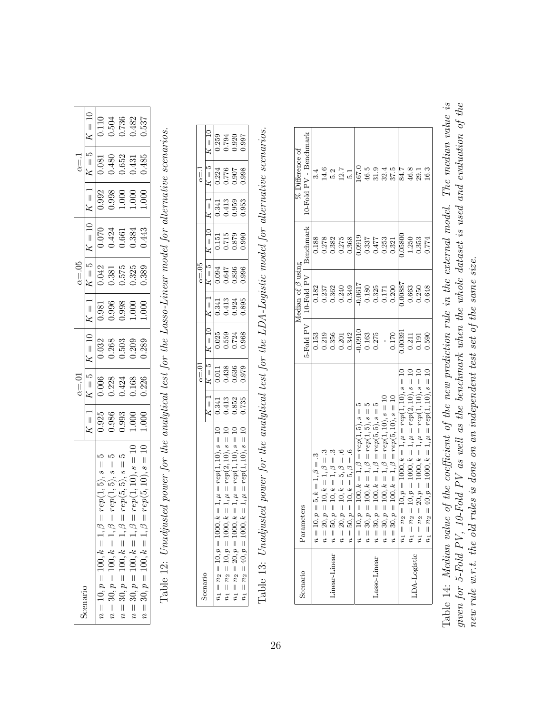| scenario                                                |                                                                     | $\alpha = 01$                                                            |                                                                 | $\alpha = 05$ |                                                                                                                                                                                                                                 |                                                                                                                   | $\alpha = 1$ |                                                                                                                                                                      |
|---------------------------------------------------------|---------------------------------------------------------------------|--------------------------------------------------------------------------|-----------------------------------------------------------------|---------------|---------------------------------------------------------------------------------------------------------------------------------------------------------------------------------------------------------------------------------|-------------------------------------------------------------------------------------------------------------------|--------------|----------------------------------------------------------------------------------------------------------------------------------------------------------------------|
|                                                         | $K = 1$                                                             | $ g = Y$                                                                 |                                                                 |               | $\begin{array}{ c c c c } \hline 1 & K=1 & K=5 & K=10 & K \ \hline 0.981 & 0.042 & 0.070 & 7 \ 0.996 & 0.381 & 0.424 & 7 \ 0.998 & 0.575 & 0.661 & 7 \ 0.000 & 0.325 & 0.384 & 89 & 1.000 & 0.389 & 0.384 \ \hline \end{array}$ |                                                                                                                   |              |                                                                                                                                                                      |
| $rep(1,5), s = 5$<br>$n = 10, p = 100, k = 1, \beta =$  | $\frac{1}{0.986}$<br>$\frac{0.986}{0.993}$<br>$\frac{0.900}{1.000}$ |                                                                          | $K = 10$<br>$0.032$<br>$0.268$<br>$0.503$<br>$0.503$<br>$0.289$ |               |                                                                                                                                                                                                                                 | $\begin{tabular}{ c c } \hline $K=1$ \\ \hline 0.992 \\ 0.998 \\ 1.000 \\ 1.000 \\ 1.000 \\ \hline \end{tabular}$ |              | $\begin{tabular}{ c c c } \hline $K=5$ & $K=10$ \\ \hline 0.081 & 0.110 \\ 0.480 & 0.504 \\ 0.652 & 0.736 \\ 0.431 & 0.482 \\ 0.485 & 0.632 \\ \hline \end{tabular}$ |
| $rep(1,5), s = 0$<br>$n=30, p=100, k=1, \beta=$         |                                                                     | $\begin{array}{c} 0.006 \\ 0.228 \\ 0.424 \\ 0.168 \\ 0.036 \end{array}$ |                                                                 |               |                                                                                                                                                                                                                                 |                                                                                                                   |              |                                                                                                                                                                      |
| $rep(5,5), s = 5$<br>$n=30, p=100, k=1, \beta=$         |                                                                     |                                                                          |                                                                 |               |                                                                                                                                                                                                                                 |                                                                                                                   |              |                                                                                                                                                                      |
| $rep(1, 10), s = 10$<br>$n=30, p=100, k=1, \beta=$      |                                                                     |                                                                          |                                                                 |               |                                                                                                                                                                                                                                 |                                                                                                                   |              |                                                                                                                                                                      |
| $rep(5, 10), s = 10$<br>$= 30, p = 100, k = 1, \beta =$ | 000.1                                                               |                                                                          |                                                                 |               |                                                                                                                                                                                                                                 |                                                                                                                   |              |                                                                                                                                                                      |

Table 12: Unadjusted power for the analytical test for the Lasso-Linear model for alternative scenarios. Table 12: Unadjusted power for the analytical test for the Lasso-Linear model for alternative scenarios.

| $K = 5$<br>$\frac{5}{0.224}$<br>0.776<br>0.998<br>0.998<br>$\begin{bmatrix} K=10 \ 0.151 \ 0.715 \ 0.879 \ 0.879 \end{bmatrix}$<br>$K=5$<br>$0.094$<br>0.647<br>0.636<br>0.996<br>$K = 1$<br>$\frac{1}{0.341}$<br>$\frac{1}{0.343}$<br>$\frac{3}{0.343}$<br>$\frac{3}{0.895}$<br>$K = 10$<br>0.025<br>0.559<br>0.724<br>0.968<br>$K=5$<br>0.011<br>0.438<br>0.636<br>0.979<br>$\frac{1}{\pi}$<br>$\begin{array}{c} 0.341 \\ 0.413 \\ 0.852 \\ 0.735 \end{array}$<br>$\overline{\mathsf{x}}$<br>$\begin{array}{l} 1, \mu = rep(1,10), s=10 \\ 1, \mu = rep(1,10), s=10 \end{array}$<br>$\cdot$ 1, $\mu = rep(1,10), s = 1$<br>$1, \mu = rep(2,10), s =$<br>$, k =$<br>$n_1 = n_2 = 10, p = 1000, k =$<br>$0, k =$<br>$n_1 = n_2 = 20, p = 1000,$<br>$n_1 = n_2 = 10, p = 1000$ |                                         | $\alpha = 01$ |  | $\alpha = 05$ |  | $\alpha = 1$ |                                  |
|-------------------------------------------------------------------------------------------------------------------------------------------------------------------------------------------------------------------------------------------------------------------------------------------------------------------------------------------------------------------------------------------------------------------------------------------------------------------------------------------------------------------------------------------------------------------------------------------------------------------------------------------------------------------------------------------------------------------------------------------------------------------------------|-----------------------------------------|---------------|--|---------------|--|--------------|----------------------------------|
|                                                                                                                                                                                                                                                                                                                                                                                                                                                                                                                                                                                                                                                                                                                                                                               |                                         |               |  |               |  |              | $K = 10$                         |
|                                                                                                                                                                                                                                                                                                                                                                                                                                                                                                                                                                                                                                                                                                                                                                               |                                         |               |  |               |  |              |                                  |
|                                                                                                                                                                                                                                                                                                                                                                                                                                                                                                                                                                                                                                                                                                                                                                               |                                         |               |  |               |  |              | 0.259<br>0.794<br>0.920<br>0.997 |
|                                                                                                                                                                                                                                                                                                                                                                                                                                                                                                                                                                                                                                                                                                                                                                               |                                         |               |  |               |  |              |                                  |
|                                                                                                                                                                                                                                                                                                                                                                                                                                                                                                                                                                                                                                                                                                                                                                               | $J, k = 7$<br>$n_1 = n_2 = 40, p = 100$ |               |  |               |  |              |                                  |

Table 13: Unadjusted power for the analytical test for the LDA-Logistic model for alternative scenarios. Table 13: Unadjusted power for the analytical test for the LDA-Logistic model for alternative scenarios.

| Scenario     |                                                                                     |                                                                           | Median of $\beta$ using                                         |                                                                                            | % Difference of       |
|--------------|-------------------------------------------------------------------------------------|---------------------------------------------------------------------------|-----------------------------------------------------------------|--------------------------------------------------------------------------------------------|-----------------------|
|              | Parameters                                                                          |                                                                           | 5-Fold PV   10-Fold PV                                          | Benchmark                                                                                  | 0-Fold PV - Benchmark |
|              | $10, p = 5, k = 1, \beta = .3$<br>$\parallel$<br>r,                                 |                                                                           | 0.182                                                           |                                                                                            |                       |
|              | $20, p = 10, k = 1, \beta = .3$<br>$n =$                                            |                                                                           |                                                                 |                                                                                            |                       |
| inear-Linear | $50, p = 10, k = 1, \beta = .3$<br>$\overline{n}$                                   | $\begin{array}{c} 0.153 \\ 0.219 \\ 0.356 \\ 0.00 \\ 0.01 \\ \end{array}$ | $\begin{array}{c} 0.237 \\ 0.362 \\ 0.240 \\ 0.349 \end{array}$ |                                                                                            |                       |
|              | $20, p = 10, k = 5, \beta = .6$<br>$n =$                                            |                                                                           |                                                                 |                                                                                            |                       |
|              | $50, p = 10, k = 5, \beta = .6$<br>$\parallel$<br>$\tilde{a}$                       |                                                                           |                                                                 | $\begin{array}{c} 0.188 \\ 0.278 \\ 0.332 \\ 0.333 \\ 0.336 \\ \end{array}$                |                       |
|              | $10, p = 100, k = 1, \beta = rep(1, 5), s =$<br>$\mathsf{I}$<br>$\tilde{r}$         | $\frac{0.0910}{0.163}$<br>0.163                                           | $\frac{0.0617}{0.180}$<br>0.180<br>0.325<br>0.200<br>0.200      | $\begin{array}{ l} \hline 0.0919 \\ 0.337 \\ 0.477 \\ 0.253 \\ 0.331 \\ 0.331 \end{array}$ |                       |
|              | $30, p = 100, k = 1, \beta = rep(1, 5), s = 5$<br>$\frac{1}{2}$                     |                                                                           |                                                                 |                                                                                            |                       |
| Lasso-Linear | $30, p = 100, k = 1, \beta = rep(5, 5), s = 5$<br>$\frac{1}{2}$                     |                                                                           |                                                                 |                                                                                            |                       |
|              | $30, p = 100, k = 1, \beta = rep(1, 10), s = 10$<br>$n =$                           |                                                                           |                                                                 |                                                                                            |                       |
|              | $30, p = 100, k = 1, \beta = rep(5, 10), s = 10$<br>$\parallel$<br>$\boldsymbol{a}$ | $-0.170$                                                                  |                                                                 |                                                                                            |                       |
|              | $n_2 = 10, p = 1000, k = 1, \mu = rep(1, 10), s =$<br>$n_1 =$                       | 1.00391                                                                   | 18800.0                                                         | 0.05800                                                                                    |                       |
|              | $n_2 = 10, p = 1000, k = 1, \mu = rep(2, 10), s =$<br>$n_1 =$                       | $\frac{0.211}{0.191}$                                                     | 0.663                                                           | 1.250                                                                                      |                       |
| LDA-Logistic | $1, \mu = rep(1, 10), s =$<br>$1000, k =$<br>$20, p =$<br>$n_2 =$<br>$n_1 =$        |                                                                           | 0.250<br>0.648                                                  | $0.353$<br>$0.774$                                                                         |                       |
|              | $1, \mu = rep(1, 10), s =$<br>$40, p = 1000, k =$<br>$n_2 =$<br>$n_1 =$             | 0.590                                                                     |                                                                 |                                                                                            |                       |

Table 14: Median value of the coefficient of the new prediction rule in the external model. The median value is given for 5-Fold PV, 10-Fold PV as well as the benchmark when the whole dataset is used and evaluation of the Table 14: Median value of the coefficient of the new prediction rule in the external model. The median value is given for 5-Fold PV, 10-Fold PV as well as the benchmark when the whole dataset is used and evaluation of the new rule w.r.t. the old rules is done on an independent test set of the same size. new rule w.r.t. the old rules is done on an independent test set of the same size.